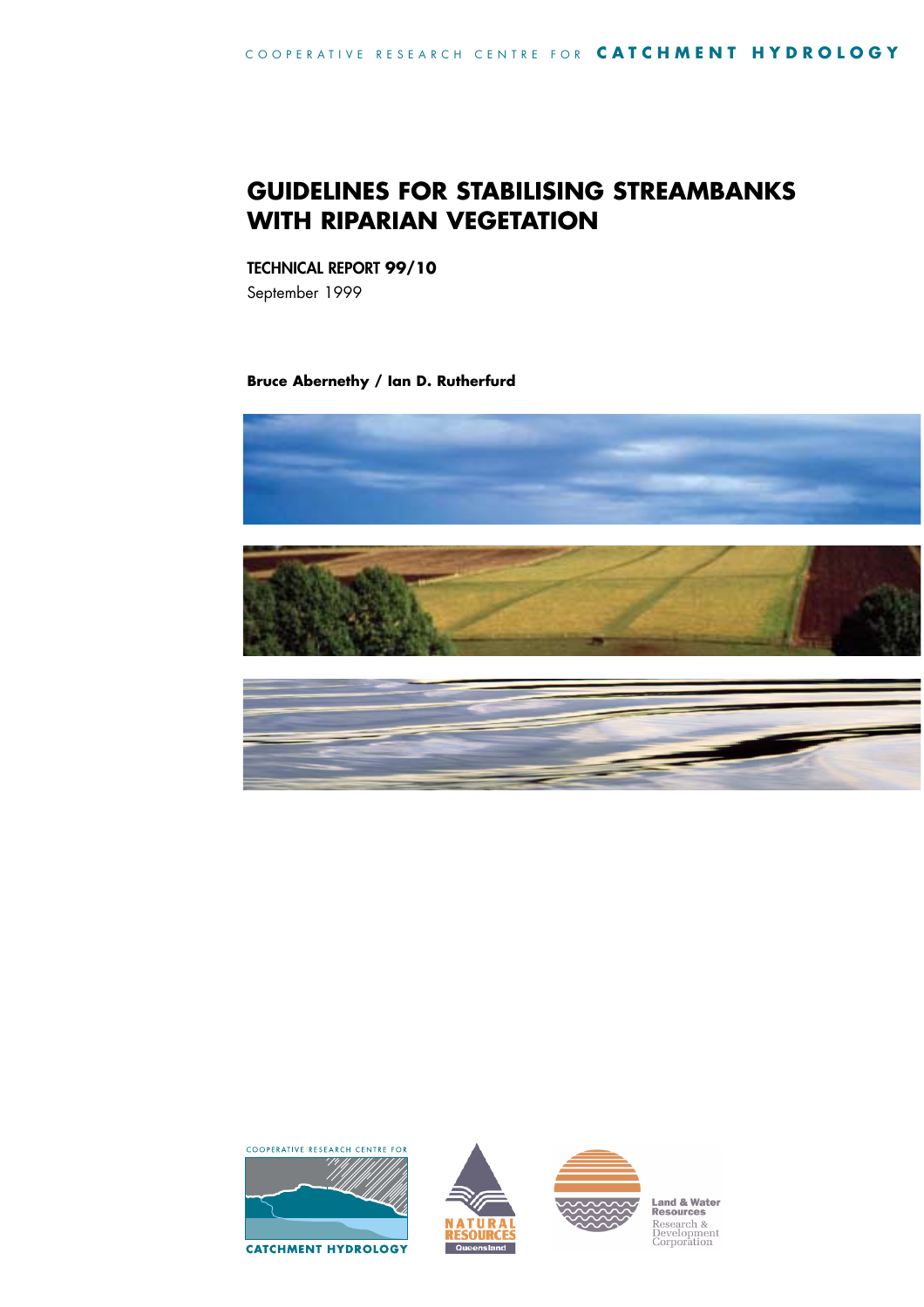# **GUIDELINES FOR STABILISING STREAMBANKS WITH RIPARIAN VEGETATION**

## **TECHNICAL REPORT 99/10**

September 1999

### **Bruce Abernethy / Ian D. Rutherfurd**













**Land & Water<br>Resources** Research &<br>Development<br>Corporation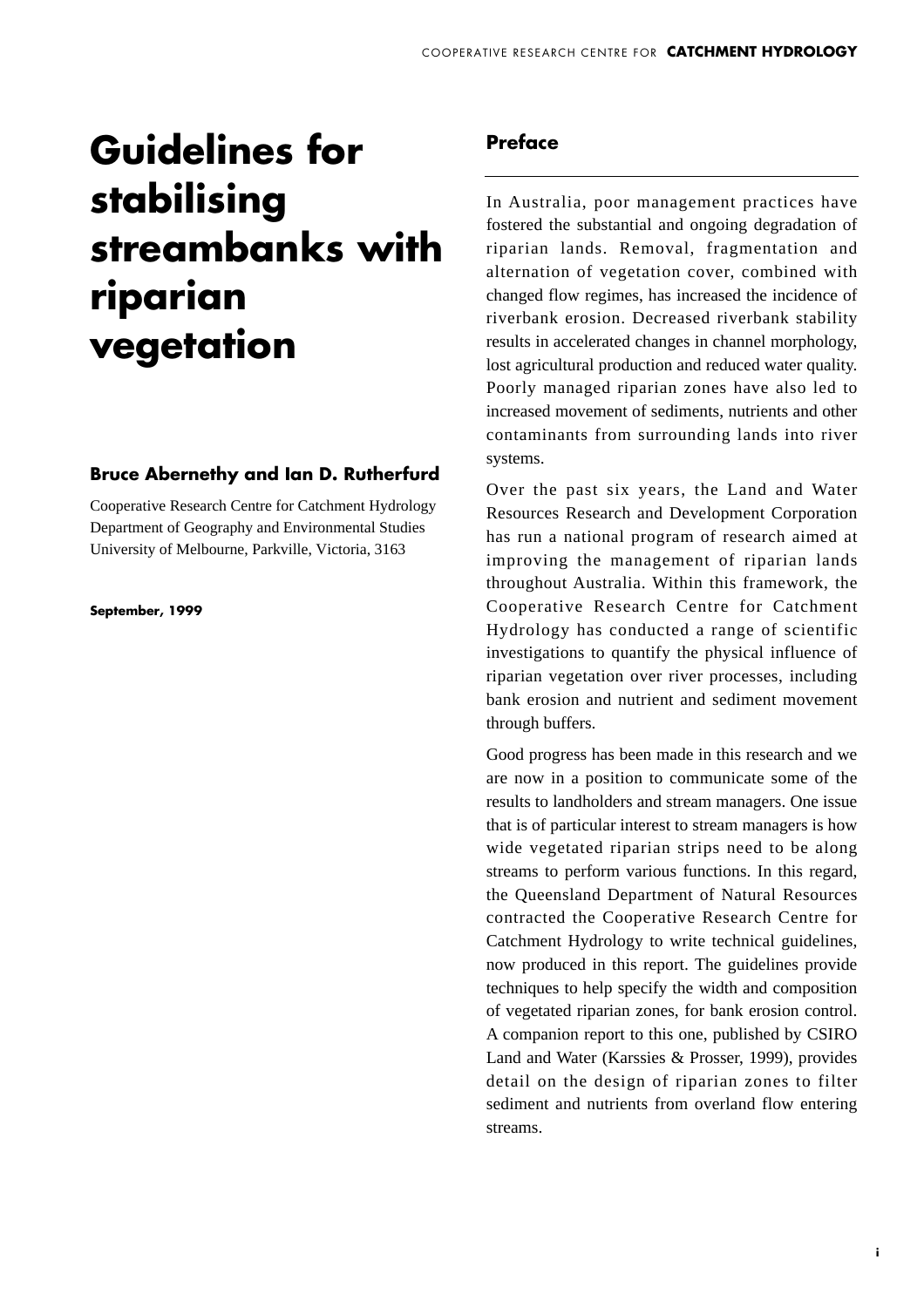# **Guidelines for stabilising streambanks with riparian vegetation**

# **Bruce Abernethy and Ian D. Rutherfurd**

Cooperative Research Centre for Catchment Hydrology Department of Geography and Environmental Studies University of Melbourne, Parkville, Victoria, 3163

**September, 1999**

# **Preface**

In Australia, poor management practices have fostered the substantial and ongoing degradation of riparian lands. Removal, fragmentation and alternation of vegetation cover, combined with changed flow regimes, has increased the incidence of riverbank erosion. Decreased riverbank stability results in accelerated changes in channel morphology, lost agricultural production and reduced water quality. Poorly managed riparian zones have also led to increased movement of sediments, nutrients and other contaminants from surrounding lands into river systems.

Over the past six years, the Land and Water Resources Research and Development Corporation has run a national program of research aimed at improving the management of riparian lands throughout Australia. Within this framework, the Cooperative Research Centre for Catchment Hydrology has conducted a range of scientific investigations to quantify the physical influence of riparian vegetation over river processes, including bank erosion and nutrient and sediment movement through buffers.

Good progress has been made in this research and we are now in a position to communicate some of the results to landholders and stream managers. One issue that is of particular interest to stream managers is how wide vegetated riparian strips need to be along streams to perform various functions. In this regard, the Queensland Department of Natural Resources contracted the Cooperative Research Centre for Catchment Hydrology to write technical guidelines, now produced in this report. The guidelines provide techniques to help specify the width and composition of vegetated riparian zones, for bank erosion control. A companion report to this one, published by CSIRO Land and Water (Karssies & Prosser, 1999), provides detail on the design of riparian zones to filter sediment and nutrients from overland flow entering streams.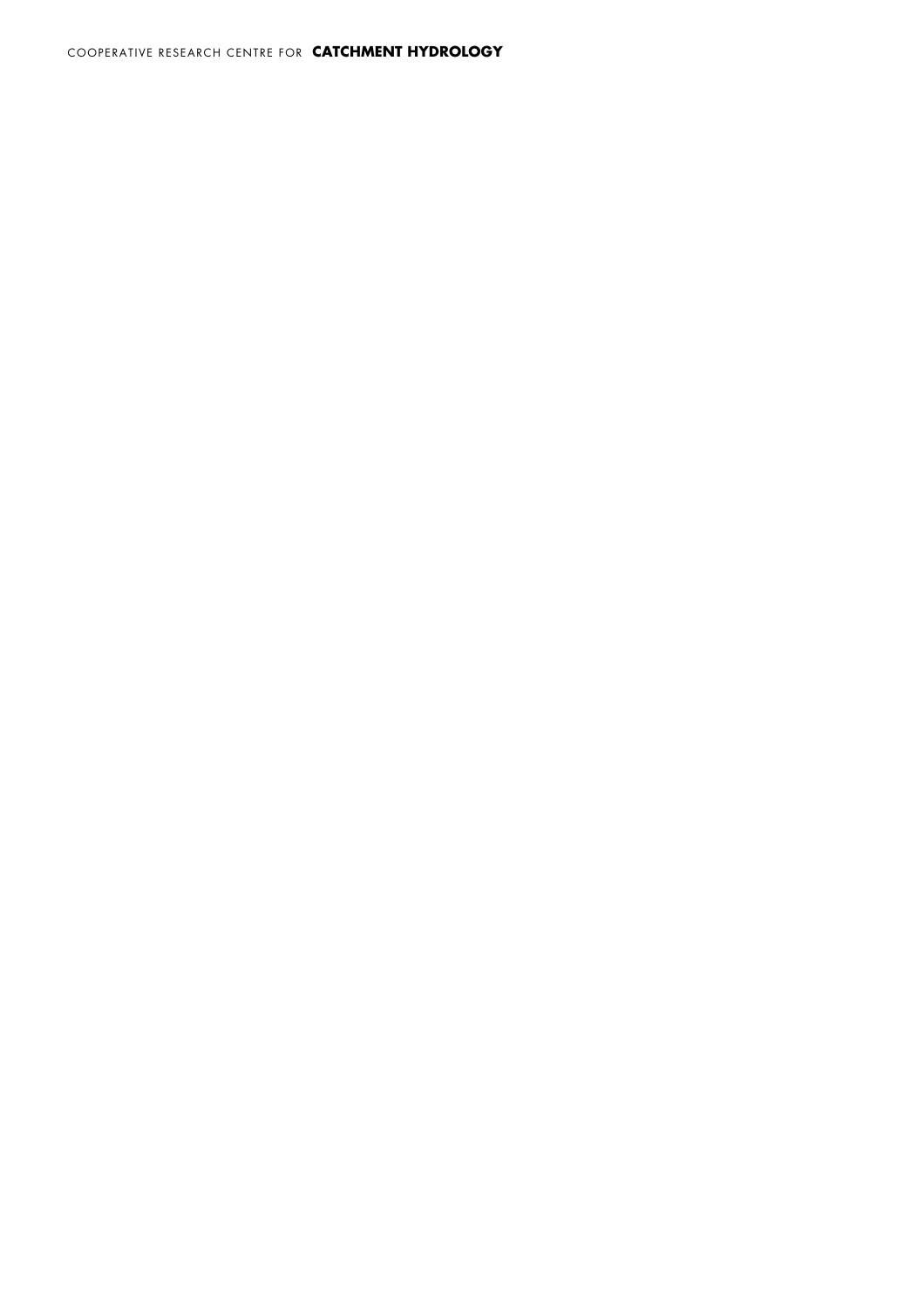COOPERATIVE RESEARCH CENTRE FOR **CATCHMENT HYDROLOGY**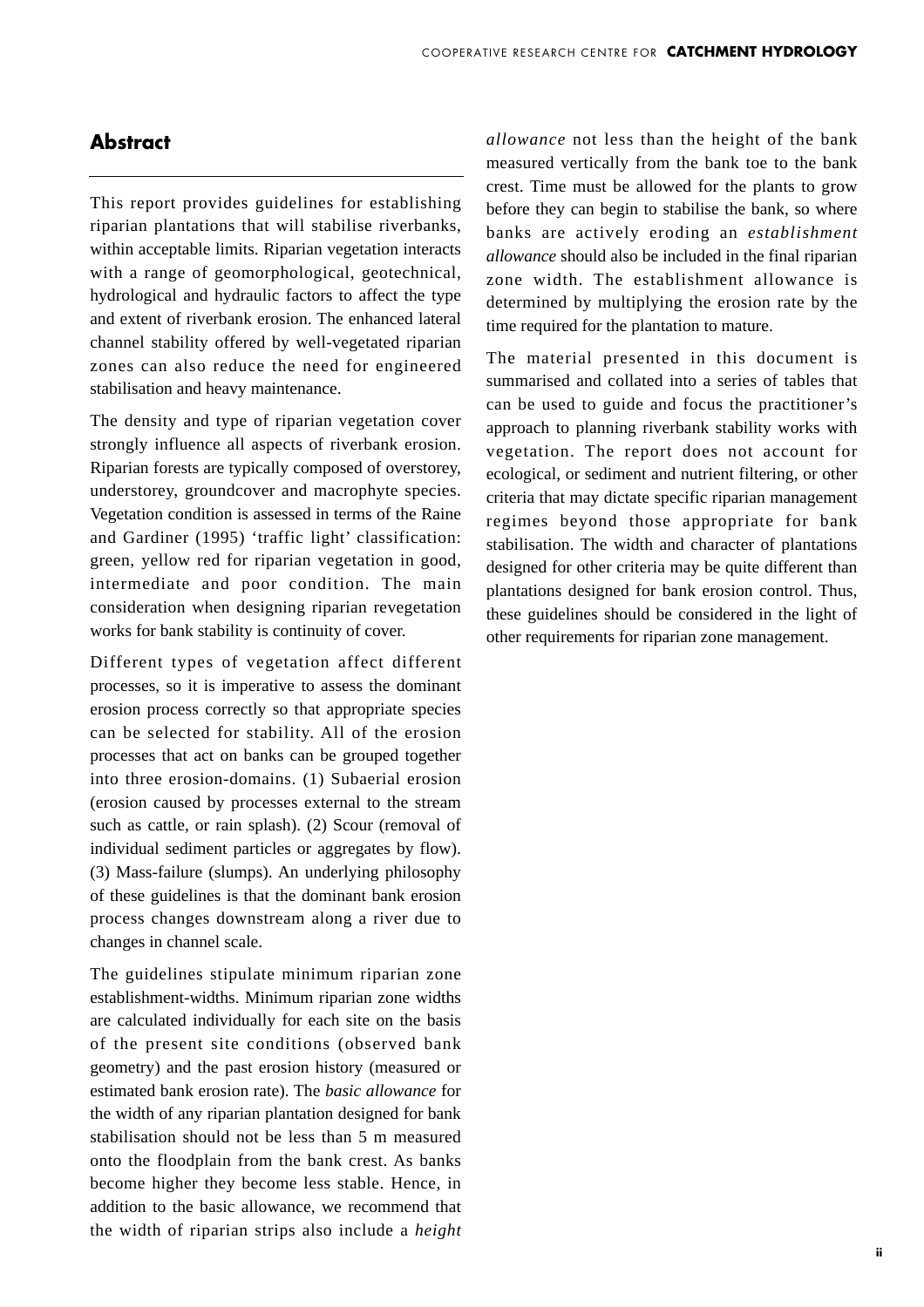# **Abstract**

This report provides guidelines for establishing riparian plantations that will stabilise riverbanks, within acceptable limits. Riparian vegetation interacts with a range of geomorphological, geotechnical, hydrological and hydraulic factors to affect the type and extent of riverbank erosion. The enhanced lateral channel stability offered by well-vegetated riparian zones can also reduce the need for engineered stabilisation and heavy maintenance.

The density and type of riparian vegetation cover strongly influence all aspects of riverbank erosion. Riparian forests are typically composed of overstorey, understorey, groundcover and macrophyte species. Vegetation condition is assessed in terms of the Raine and Gardiner (1995) 'traffic light' classification: green, yellow red for riparian vegetation in good, intermediate and poor condition. The main consideration when designing riparian revegetation works for bank stability is continuity of cover.

Different types of vegetation affect different processes, so it is imperative to assess the dominant erosion process correctly so that appropriate species can be selected for stability. All of the erosion processes that act on banks can be grouped together into three erosion-domains. (1) Subaerial erosion (erosion caused by processes external to the stream such as cattle, or rain splash). (2) Scour (removal of individual sediment particles or aggregates by flow). (3) Mass-failure (slumps). An underlying philosophy of these guidelines is that the dominant bank erosion process changes downstream along a river due to changes in channel scale.

The guidelines stipulate minimum riparian zone establishment-widths. Minimum riparian zone widths are calculated individually for each site on the basis of the present site conditions (observed bank geometry) and the past erosion history (measured or estimated bank erosion rate). The *basic allowance* for the width of any riparian plantation designed for bank stabilisation should not be less than 5 m measured onto the floodplain from the bank crest. As banks become higher they become less stable. Hence, in addition to the basic allowance, we recommend that the width of riparian strips also include a *height* *allowance* not less than the height of the bank measured vertically from the bank toe to the bank crest. Time must be allowed for the plants to grow before they can begin to stabilise the bank, so where banks are actively eroding an *establishment allowance* should also be included in the final riparian zone width. The establishment allowance is determined by multiplying the erosion rate by the time required for the plantation to mature.

The material presented in this document is summarised and collated into a series of tables that can be used to guide and focus the practitioner's approach to planning riverbank stability works with vegetation. The report does not account for ecological, or sediment and nutrient filtering, or other criteria that may dictate specific riparian management regimes beyond those appropriate for bank stabilisation. The width and character of plantations designed for other criteria may be quite different than plantations designed for bank erosion control. Thus, these guidelines should be considered in the light of other requirements for riparian zone management.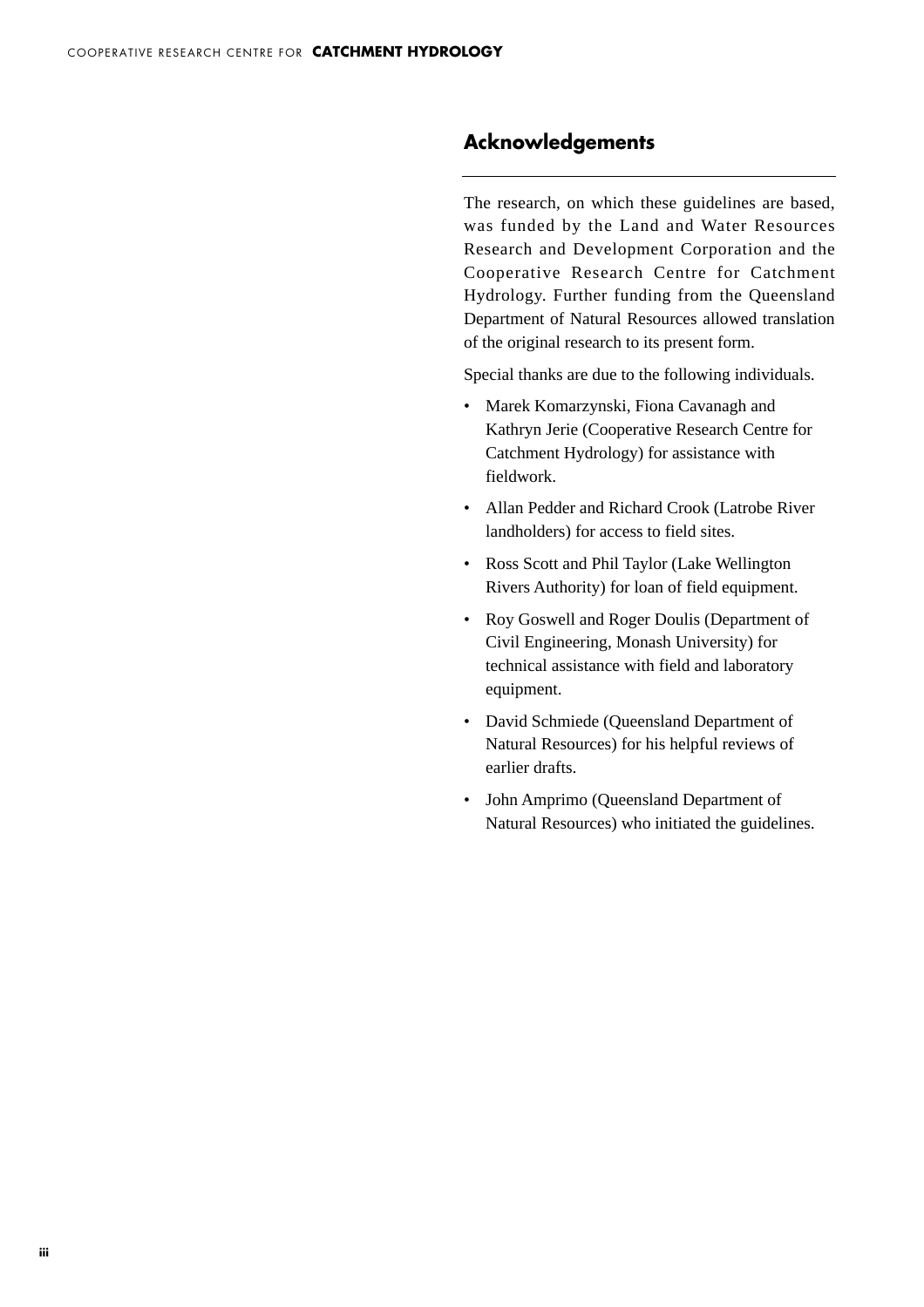# **Acknowledgements**

The research, on which these guidelines are based, was funded by the Land and Water Resources Research and Development Corporation and the Cooperative Research Centre for Catchment Hydrology. Further funding from the Queensland Department of Natural Resources allowed translation of the original research to its present form.

Special thanks are due to the following individuals.

- Marek Komarzynski, Fiona Cavanagh and Kathryn Jerie (Cooperative Research Centre for Catchment Hydrology) for assistance with fieldwork.
- Allan Pedder and Richard Crook (Latrobe River landholders) for access to field sites.
- Ross Scott and Phil Taylor (Lake Wellington Rivers Authority) for loan of field equipment.
- Roy Goswell and Roger Doulis (Department of Civil Engineering, Monash University) for technical assistance with field and laboratory equipment.
- David Schmiede (Queensland Department of Natural Resources) for his helpful reviews of earlier drafts.
- John Amprimo (Queensland Department of Natural Resources) who initiated the guidelines.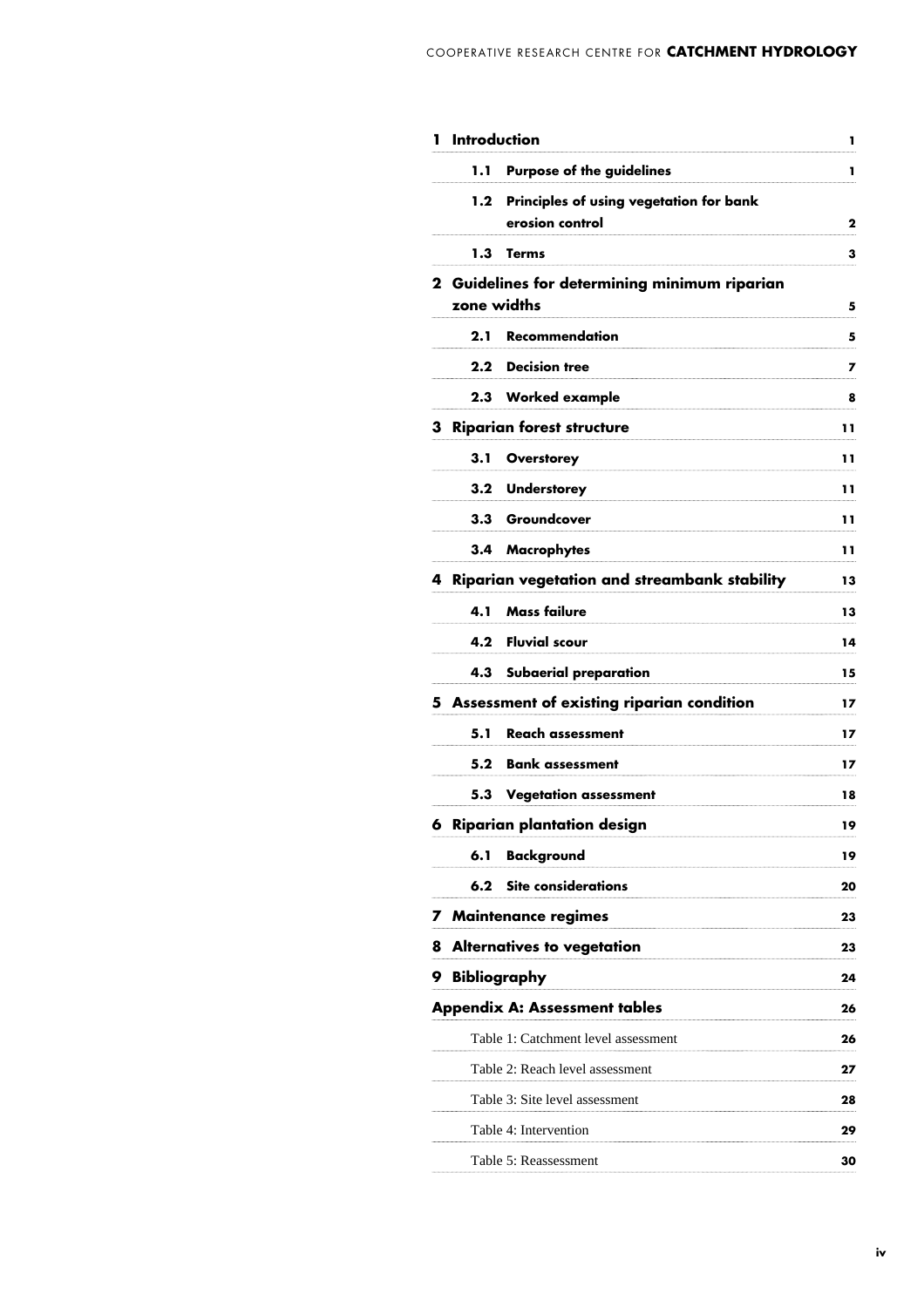| L  | <b>Introduction</b> |                                                | ı           |
|----|---------------------|------------------------------------------------|-------------|
|    | 1.1                 | <b>Purpose of the guidelines</b>               | ı           |
|    | 1.2                 | Principles of using vegetation for bank        |             |
|    |                     | erosion control                                | $\mathbf 2$ |
|    | 1.3                 | Terms                                          | 3           |
|    | zone widths         | 2 Guidelines for determining minimum riparian  | 5           |
|    | 2.1                 | Recommendation                                 | 5           |
|    | 2.2                 | <b>Decision tree</b>                           | 7           |
|    | 2.3                 | <b>Worked example</b>                          | 8           |
|    |                     | 3 Riparian forest structure                    | 11          |
|    | 3.1                 | <b>Overstorey</b>                              | 11          |
|    | 3.2                 | <b>Understorey</b>                             | 11          |
|    | 3.3                 | Groundcover                                    | 11          |
|    | 3.4                 | <b>Macrophytes</b>                             | 11          |
|    |                     | 4 Riparian vegetation and streambank stability | 13          |
|    | 4.1                 | Mass failure                                   | 13          |
|    | 4.2                 | <b>Fluvial scour</b>                           | 14          |
|    | 4.3                 | Subaerial preparation                          | 15          |
|    |                     | 5 Assessment of existing riparian condition    | 17          |
|    | 5.1                 | <b>Reach assessment</b>                        | 17          |
|    | 5.2                 | <b>Bank assessment</b>                         | 17          |
|    | 5.3                 | <b>Vegetation assessment</b>                   | 18          |
|    |                     | 6 Riparian plantation design                   | 19          |
|    | 6.1                 | <b>Background</b>                              | 19          |
|    | 6.2                 | <b>Site considerations</b>                     | 20          |
| 7  |                     | <b>Maintenance regimes</b>                     | 23          |
| 8  |                     | <b>Alternatives to vegetation</b>              | 23          |
| 9. |                     | <b>Bibliography</b>                            | 24          |
|    |                     | <b>Appendix A: Assessment tables</b>           | 26          |
|    |                     | Table 1: Catchment level assessment            | 26          |
|    |                     | Table 2: Reach level assessment                | 27          |
|    |                     | Table 3: Site level assessment                 | 28          |
|    |                     | Table 4: Intervention                          | 29          |
|    |                     | Table 5: Reassessment                          | 30          |
|    |                     |                                                |             |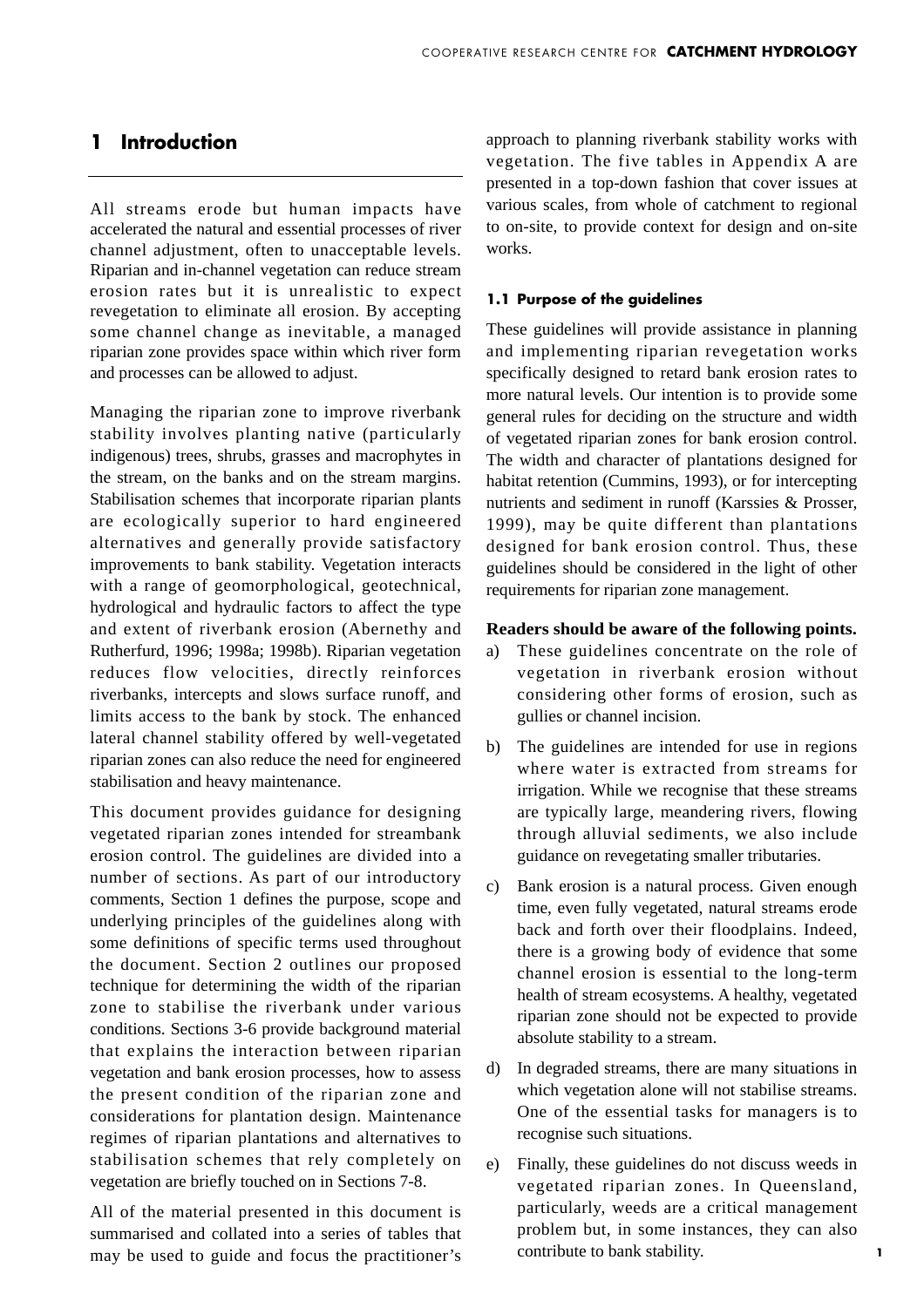# **1 Introduction**

All streams erode but human impacts have accelerated the natural and essential processes of river channel adjustment, often to unacceptable levels. Riparian and in-channel vegetation can reduce stream erosion rates but it is unrealistic to expect revegetation to eliminate all erosion. By accepting some channel change as inevitable, a managed riparian zone provides space within which river form and processes can be allowed to adjust.

Managing the riparian zone to improve riverbank stability involves planting native (particularly indigenous) trees, shrubs, grasses and macrophytes in the stream, on the banks and on the stream margins. Stabilisation schemes that incorporate riparian plants are ecologically superior to hard engineered alternatives and generally provide satisfactory improvements to bank stability. Vegetation interacts with a range of geomorphological, geotechnical, hydrological and hydraulic factors to affect the type and extent of riverbank erosion (Abernethy and Rutherfurd, 1996; 1998a; 1998b). Riparian vegetation reduces flow velocities, directly reinforces riverbanks, intercepts and slows surface runoff, and limits access to the bank by stock. The enhanced lateral channel stability offered by well-vegetated riparian zones can also reduce the need for engineered stabilisation and heavy maintenance.

This document provides guidance for designing vegetated riparian zones intended for streambank erosion control. The guidelines are divided into a number of sections. As part of our introductory comments, Section 1 defines the purpose, scope and underlying principles of the guidelines along with some definitions of specific terms used throughout the document. Section 2 outlines our proposed technique for determining the width of the riparian zone to stabilise the riverbank under various conditions. Sections 3-6 provide background material that explains the interaction between riparian vegetation and bank erosion processes, how to assess the present condition of the riparian zone and considerations for plantation design. Maintenance regimes of riparian plantations and alternatives to stabilisation schemes that rely completely on vegetation are briefly touched on in Sections 7-8.

All of the material presented in this document is summarised and collated into a series of tables that may be used to guide and focus the practitioner's

approach to planning riverbank stability works with vegetation. The five tables in Appendix A are presented in a top-down fashion that cover issues at various scales, from whole of catchment to regional to on-site, to provide context for design and on-site works.

# **1.1 Purpose of the guidelines**

These guidelines will provide assistance in planning and implementing riparian revegetation works specifically designed to retard bank erosion rates to more natural levels. Our intention is to provide some general rules for deciding on the structure and width of vegetated riparian zones for bank erosion control. The width and character of plantations designed for habitat retention (Cummins, 1993), or for intercepting nutrients and sediment in runoff (Karssies & Prosser, 1999), may be quite different than plantations designed for bank erosion control. Thus, these guidelines should be considered in the light of other requirements for riparian zone management.

# **Readers should be aware of the following points.**

- a) These guidelines concentrate on the role of vegetation in riverbank erosion without considering other forms of erosion, such as gullies or channel incision.
- b) The guidelines are intended for use in regions where water is extracted from streams for irrigation. While we recognise that these streams are typically large, meandering rivers, flowing through alluvial sediments, we also include guidance on revegetating smaller tributaries.
- c) Bank erosion is a natural process. Given enough time, even fully vegetated, natural streams erode back and forth over their floodplains. Indeed, there is a growing body of evidence that some channel erosion is essential to the long-term health of stream ecosystems. A healthy, vegetated riparian zone should not be expected to provide absolute stability to a stream.
- d) In degraded streams, there are many situations in which vegetation alone will not stabilise streams. One of the essential tasks for managers is to recognise such situations.
- e) Finally, these guidelines do not discuss weeds in vegetated riparian zones. In Queensland, particularly, weeds are a critical management problem but, in some instances, they can also contribute to bank stability.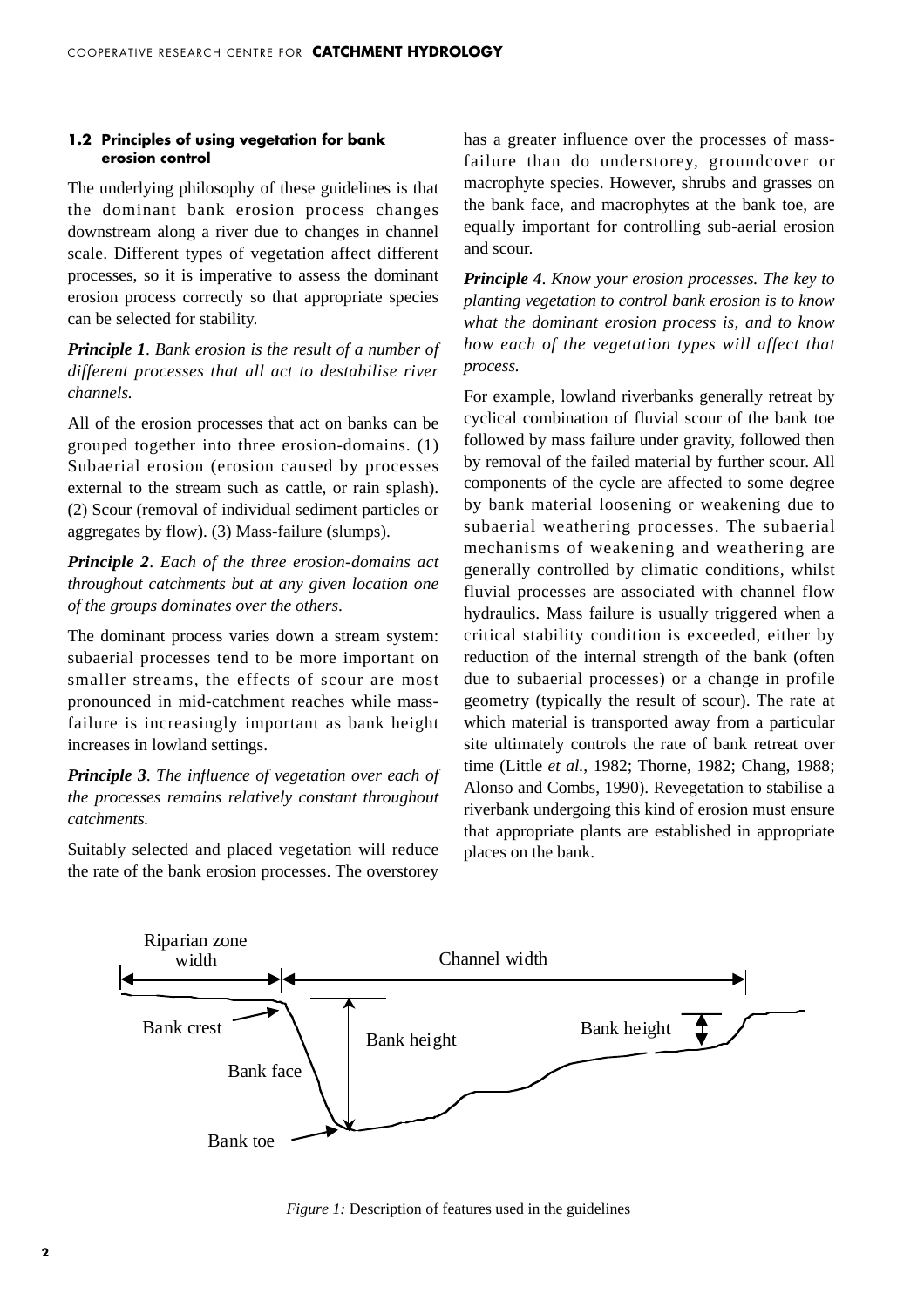#### **1.2 Principles of using vegetation for bank erosion control**

The underlying philosophy of these guidelines is that the dominant bank erosion process changes downstream along a river due to changes in channel scale. Different types of vegetation affect different processes, so it is imperative to assess the dominant erosion process correctly so that appropriate species can be selected for stability.

*Principle 1*. *Bank erosion is the result of a number of different processes that all act to destabilise river channels.* 

All of the erosion processes that act on banks can be grouped together into three erosion-domains. (1) Subaerial erosion (erosion caused by processes external to the stream such as cattle, or rain splash). (2) Scour (removal of individual sediment particles or aggregates by flow). (3) Mass-failure (slumps).

*Principle 2*. *Each of the three erosion-domains act throughout catchments but at any given location one of the groups dominates over the others*.

The dominant process varies down a stream system: subaerial processes tend to be more important on smaller streams, the effects of scour are most pronounced in mid-catchment reaches while massfailure is increasingly important as bank height increases in lowland settings.

*Principle 3*. *The influence of vegetation over each of the processes remains relatively constant throughout catchments.* 

Suitably selected and placed vegetation will reduce the rate of the bank erosion processes. The overstorey has a greater influence over the processes of massfailure than do understorey, groundcover or macrophyte species. However, shrubs and grasses on the bank face, and macrophytes at the bank toe, are equally important for controlling sub-aerial erosion and scour.

*Principle 4*. *Know your erosion processes. The key to planting vegetation to control bank erosion is to know what the dominant erosion process is, and to know how each of the vegetation types will affect that process.* 

For example, lowland riverbanks generally retreat by cyclical combination of fluvial scour of the bank toe followed by mass failure under gravity, followed then by removal of the failed material by further scour. All components of the cycle are affected to some degree by bank material loosening or weakening due to subaerial weathering processes. The subaerial mechanisms of weakening and weathering are generally controlled by climatic conditions, whilst fluvial processes are associated with channel flow hydraulics. Mass failure is usually triggered when a critical stability condition is exceeded, either by reduction of the internal strength of the bank (often due to subaerial processes) or a change in profile geometry (typically the result of scour). The rate at which material is transported away from a particular site ultimately controls the rate of bank retreat over time (Little *et al.*, 1982; Thorne, 1982; Chang, 1988; Alonso and Combs, 1990). Revegetation to stabilise a riverbank undergoing this kind of erosion must ensure that appropriate plants are established in appropriate places on the bank.



*Figure 1:* Description of features used in the guidelines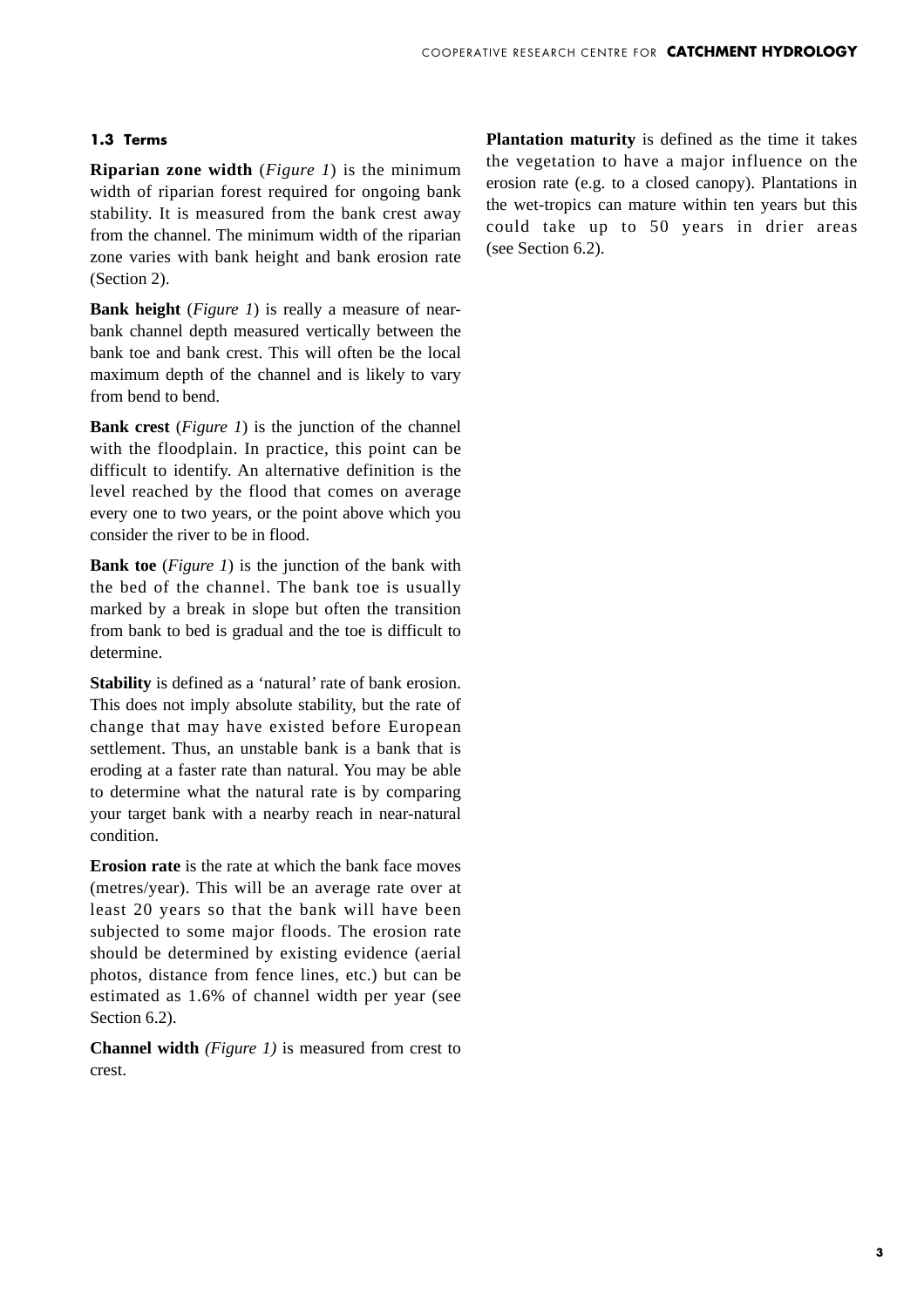# **1.3 Terms**

**Riparian zone width** (*Figure 1*) is the minimum width of riparian forest required for ongoing bank stability. It is measured from the bank crest away from the channel. The minimum width of the riparian zone varies with bank height and bank erosion rate (Section 2).

**Bank height** (*Figure 1*) is really a measure of nearbank channel depth measured vertically between the bank toe and bank crest. This will often be the local maximum depth of the channel and is likely to vary from bend to bend.

**Bank crest** (*Figure 1*) is the junction of the channel with the floodplain. In practice, this point can be difficult to identify. An alternative definition is the level reached by the flood that comes on average every one to two years, or the point above which you consider the river to be in flood.

**Bank toe** (*Figure 1*) is the junction of the bank with the bed of the channel. The bank toe is usually marked by a break in slope but often the transition from bank to bed is gradual and the toe is difficult to determine.

**Stability** is defined as a 'natural' rate of bank erosion. This does not imply absolute stability, but the rate of change that may have existed before European settlement. Thus, an unstable bank is a bank that is eroding at a faster rate than natural. You may be able to determine what the natural rate is by comparing your target bank with a nearby reach in near-natural condition.

**Erosion rate** is the rate at which the bank face moves (metres/year). This will be an average rate over at least 20 years so that the bank will have been subjected to some major floods. The erosion rate should be determined by existing evidence (aerial photos, distance from fence lines, etc.) but can be estimated as 1.6% of channel width per year (see Section 6.2).

**Channel width** *(Figure 1)* is measured from crest to crest.

**Plantation maturity** is defined as the time it takes the vegetation to have a major influence on the erosion rate (e.g. to a closed canopy). Plantations in the wet-tropics can mature within ten years but this could take up to 50 years in drier areas (see Section 6.2).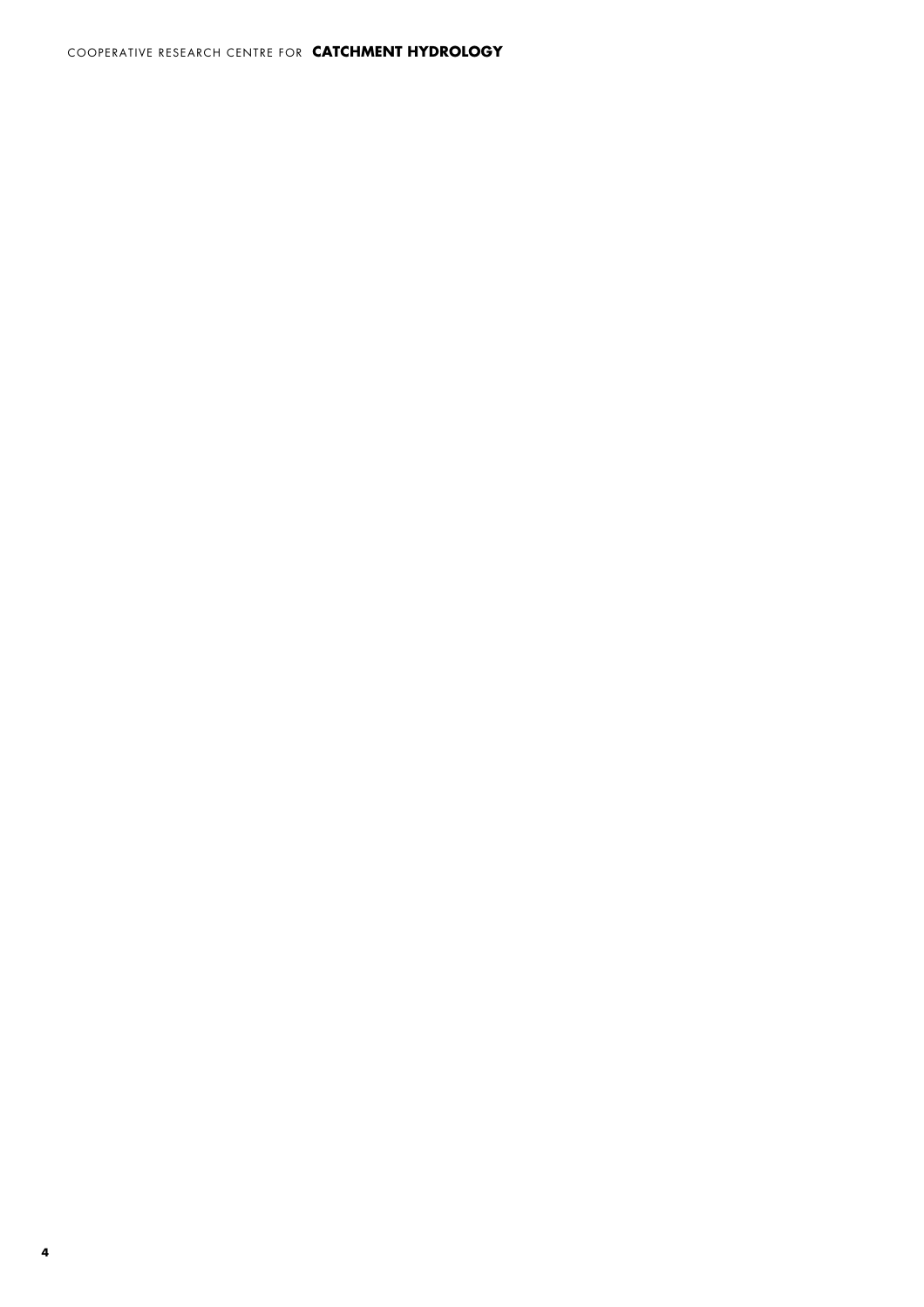COOPERATIVE RESEARCH CENTRE FOR **CATCHMENT HYDROLOGY**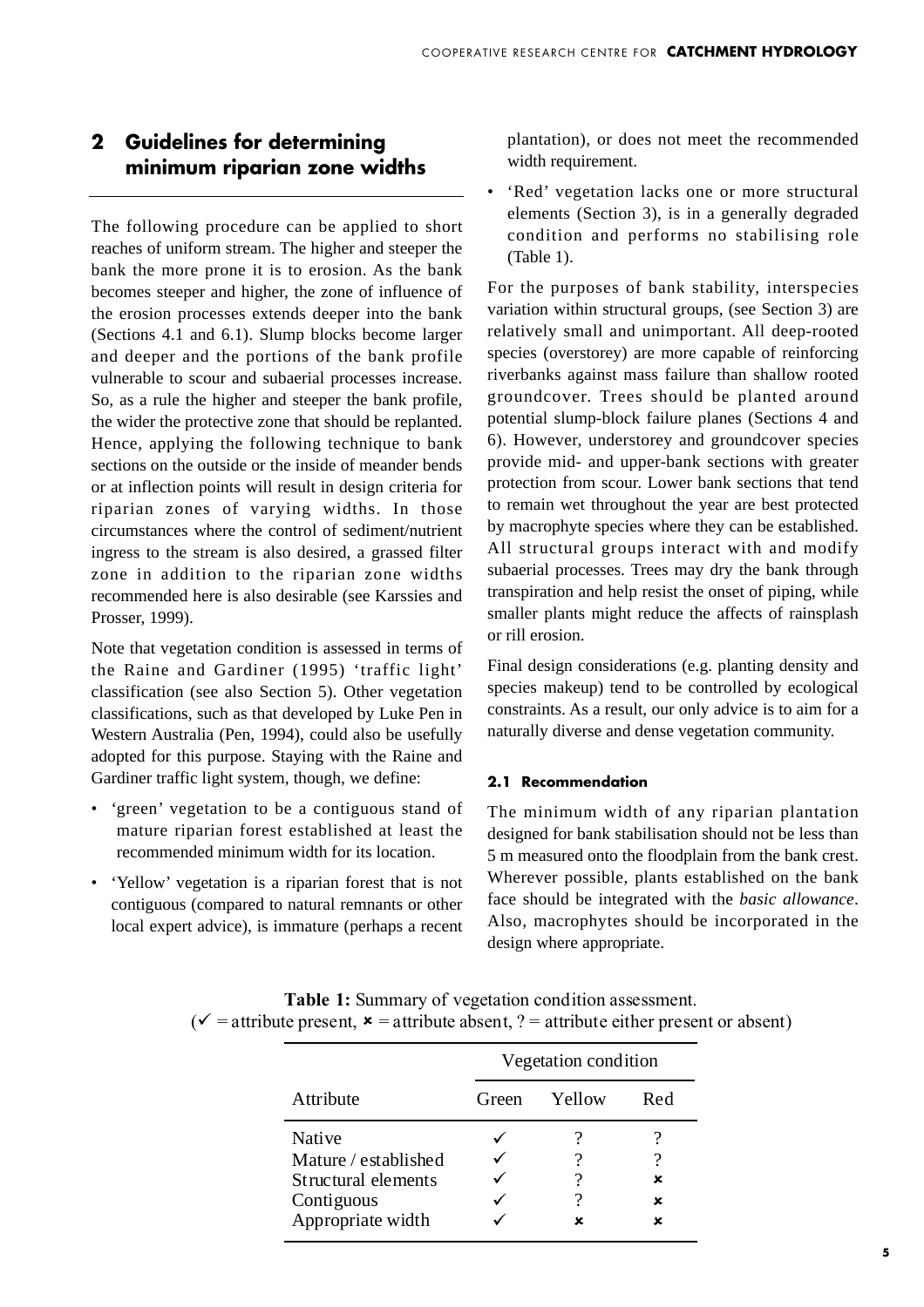# **2 Guidelines for determining minimum riparian zone widths**

The following procedure can be applied to short reaches of uniform stream. The higher and steeper the bank the more prone it is to erosion. As the bank becomes steeper and higher, the zone of influence of the erosion processes extends deeper into the bank (Sections 4.1 and 6.1). Slump blocks become larger and deeper and the portions of the bank profile vulnerable to scour and subaerial processes increase. So, as a rule the higher and steeper the bank profile, the wider the protective zone that should be replanted. Hence, applying the following technique to bank sections on the outside or the inside of meander bends or at inflection points will result in design criteria for riparian zones of varying widths. In those circumstances where the control of sediment/nutrient ingress to the stream is also desired, a grassed filter zone in addition to the riparian zone widths recommended here is also desirable (see Karssies and Prosser, 1999).

Note that vegetation condition is assessed in terms of the Raine and Gardiner (1995) 'traffic light' classification (see also Section 5). Other vegetation classifications, such as that developed by Luke Pen in Western Australia (Pen, 1994), could also be usefully adopted for this purpose. Staying with the Raine and Gardiner traffic light system, though, we define:

- 'green' vegetation to be a contiguous stand of mature riparian forest established at least the recommended minimum width for its location.
- 'Yellow' vegetation is a riparian forest that is not contiguous (compared to natural remnants or other local expert advice), is immature (perhaps a recent

plantation), or does not meet the recommended width requirement.

• 'Red' vegetation lacks one or more structural elements (Section 3), is in a generally degraded condition and performs no stabilising role (Table 1).

For the purposes of bank stability, interspecies variation within structural groups, (see Section 3) are relatively small and unimportant. All deep-rooted species (overstorey) are more capable of reinforcing riverbanks against mass failure than shallow rooted groundcover. Trees should be planted around potential slump-block failure planes (Sections 4 and 6). However, understorey and groundcover species provide mid- and upper-bank sections with greater protection from scour. Lower bank sections that tend to remain wet throughout the year are best protected by macrophyte species where they can be established. All structural groups interact with and modify subaerial processes. Trees may dry the bank through transpiration and help resist the onset of piping, while smaller plants might reduce the affects of rainsplash or rill erosion.

Final design considerations (e.g. planting density and species makeup) tend to be controlled by ecological constraints. As a result, our only advice is to aim for a naturally diverse and dense vegetation community.

# **2.1 Recommendation**

The minimum width of any riparian plantation designed for bank stabilisation should not be less than 5 m measured onto the floodplain from the bank crest. Wherever possible, plants established on the bank face should be integrated with the *basic allowance*. Also, macrophytes should be incorporated in the design where appropriate.

|                                             | Vegetation condition |        |        |
|---------------------------------------------|----------------------|--------|--------|
| Attribute                                   | Green                | Yellow | Red    |
| Native                                      |                      |        |        |
| Mature / established<br>Structural elements |                      |        | x      |
| Contiguous<br>Appropriate width             |                      |        | x<br>x |

**Table 1:** Summary of vegetation condition assessment.  $({\bf v})$  = attribute present,  ${\bf x}$  = attribute absent, ? = attribute either present or absent)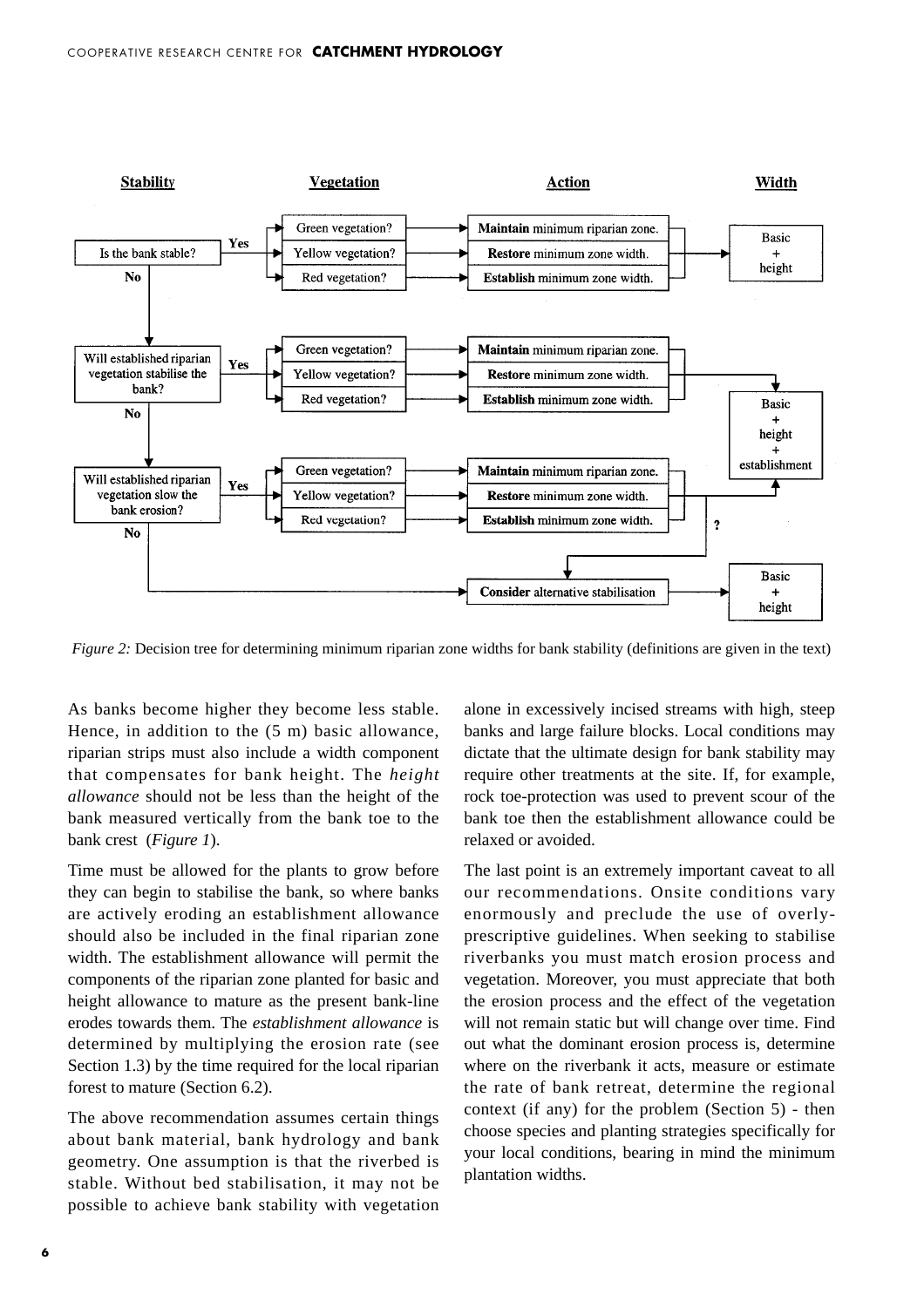

*Figure 2:* Decision tree for determining minimum riparian zone widths for bank stability (definitions are given in the text)

As banks become higher they become less stable. Hence, in addition to the (5 m) basic allowance, riparian strips must also include a width component that compensates for bank height. The *height allowance* should not be less than the height of the bank measured vertically from the bank toe to the bank crest (*Figure 1*).

Time must be allowed for the plants to grow before they can begin to stabilise the bank, so where banks are actively eroding an establishment allowance should also be included in the final riparian zone width. The establishment allowance will permit the components of the riparian zone planted for basic and height allowance to mature as the present bank-line erodes towards them. The *establishment allowance* is determined by multiplying the erosion rate (see Section 1.3) by the time required for the local riparian forest to mature (Section 6.2).

The above recommendation assumes certain things about bank material, bank hydrology and bank geometry. One assumption is that the riverbed is stable. Without bed stabilisation, it may not be possible to achieve bank stability with vegetation

alone in excessively incised streams with high, steep banks and large failure blocks. Local conditions may dictate that the ultimate design for bank stability may require other treatments at the site. If, for example, rock toe-protection was used to prevent scour of the bank toe then the establishment allowance could be relaxed or avoided.

The last point is an extremely important caveat to all our recommendations. Onsite conditions vary enormously and preclude the use of overlyprescriptive guidelines. When seeking to stabilise riverbanks you must match erosion process and vegetation. Moreover, you must appreciate that both the erosion process and the effect of the vegetation will not remain static but will change over time. Find out what the dominant erosion process is, determine where on the riverbank it acts, measure or estimate the rate of bank retreat, determine the regional context (if any) for the problem (Section 5) - then choose species and planting strategies specifically for your local conditions, bearing in mind the minimum plantation widths.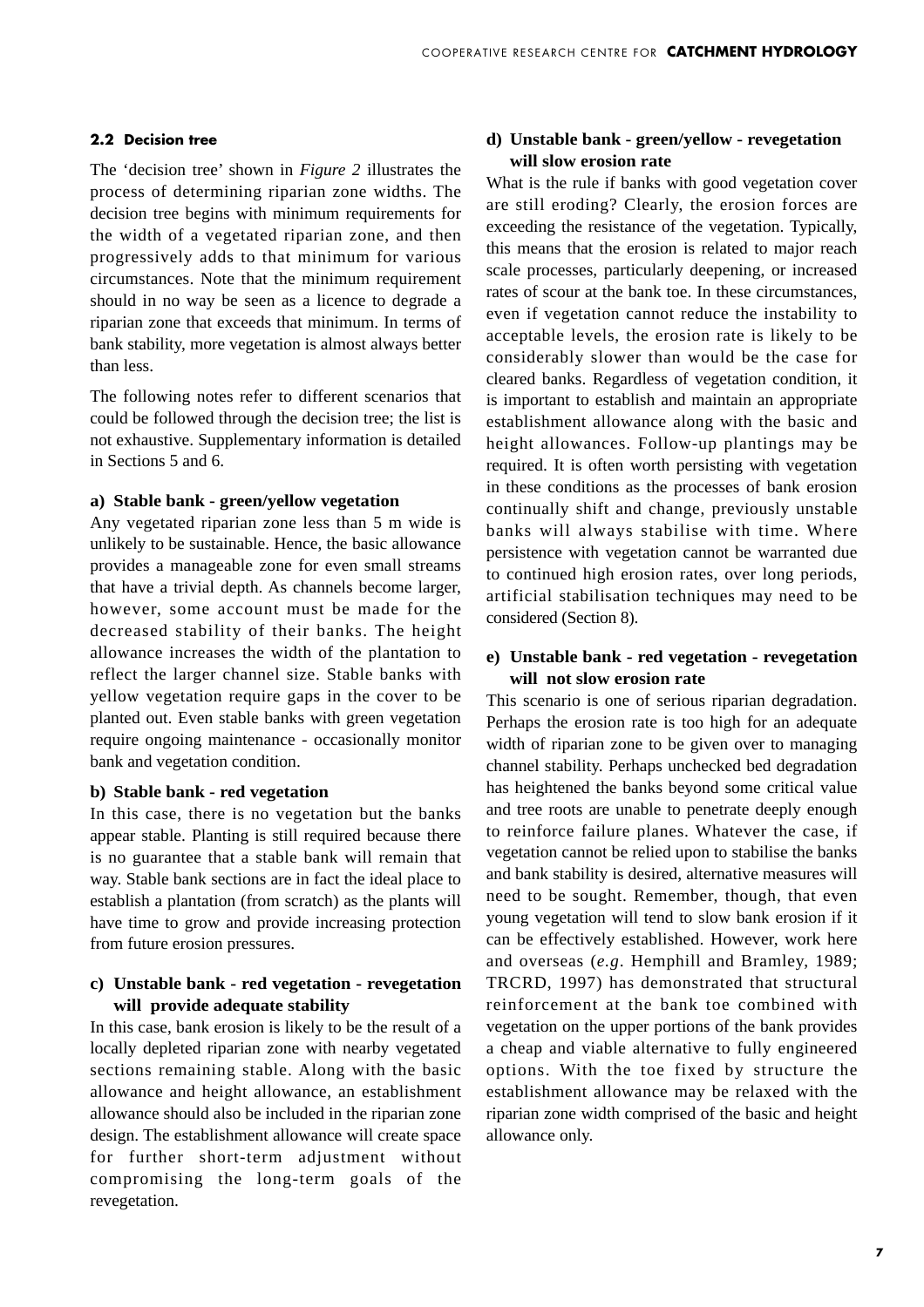## **2.2 Decision tree**

The 'decision tree' shown in *Figure 2* illustrates the process of determining riparian zone widths. The decision tree begins with minimum requirements for the width of a vegetated riparian zone, and then progressively adds to that minimum for various circumstances. Note that the minimum requirement should in no way be seen as a licence to degrade a riparian zone that exceeds that minimum. In terms of bank stability, more vegetation is almost always better than less.

The following notes refer to different scenarios that could be followed through the decision tree; the list is not exhaustive. Supplementary information is detailed in Sections 5 and 6.

### **a) Stable bank - green/yellow vegetation**

Any vegetated riparian zone less than 5 m wide is unlikely to be sustainable. Hence, the basic allowance provides a manageable zone for even small streams that have a trivial depth. As channels become larger, however, some account must be made for the decreased stability of their banks. The height allowance increases the width of the plantation to reflect the larger channel size. Stable banks with yellow vegetation require gaps in the cover to be planted out. Even stable banks with green vegetation require ongoing maintenance - occasionally monitor bank and vegetation condition.

# **b) Stable bank - red vegetation**

In this case, there is no vegetation but the banks appear stable. Planting is still required because there is no guarantee that a stable bank will remain that way. Stable bank sections are in fact the ideal place to establish a plantation (from scratch) as the plants will have time to grow and provide increasing protection from future erosion pressures.

# **c) Unstable bank - red vegetation - revegetation will provide adequate stability**

In this case, bank erosion is likely to be the result of a locally depleted riparian zone with nearby vegetated sections remaining stable. Along with the basic allowance and height allowance, an establishment allowance should also be included in the riparian zone design. The establishment allowance will create space for further short-term adjustment without compromising the long-term goals of the revegetation.

# **d) Unstable bank - green/yellow - revegetation will slow erosion rate**

What is the rule if banks with good vegetation cover are still eroding? Clearly, the erosion forces are exceeding the resistance of the vegetation. Typically, this means that the erosion is related to major reach scale processes, particularly deepening, or increased rates of scour at the bank toe. In these circumstances, even if vegetation cannot reduce the instability to acceptable levels, the erosion rate is likely to be considerably slower than would be the case for cleared banks. Regardless of vegetation condition, it is important to establish and maintain an appropriate establishment allowance along with the basic and height allowances. Follow-up plantings may be required. It is often worth persisting with vegetation in these conditions as the processes of bank erosion continually shift and change, previously unstable banks will always stabilise with time. Where persistence with vegetation cannot be warranted due to continued high erosion rates, over long periods, artificial stabilisation techniques may need to be considered (Section 8).

# **e) Unstable bank - red vegetation - revegetation will not slow erosion rate**

This scenario is one of serious riparian degradation. Perhaps the erosion rate is too high for an adequate width of riparian zone to be given over to managing channel stability. Perhaps unchecked bed degradation has heightened the banks beyond some critical value and tree roots are unable to penetrate deeply enough to reinforce failure planes. Whatever the case, if vegetation cannot be relied upon to stabilise the banks and bank stability is desired, alternative measures will need to be sought. Remember, though, that even young vegetation will tend to slow bank erosion if it can be effectively established. However, work here and overseas (*e.g*. Hemphill and Bramley, 1989; TRCRD, 1997) has demonstrated that structural reinforcement at the bank toe combined with vegetation on the upper portions of the bank provides a cheap and viable alternative to fully engineered options. With the toe fixed by structure the establishment allowance may be relaxed with the riparian zone width comprised of the basic and height allowance only.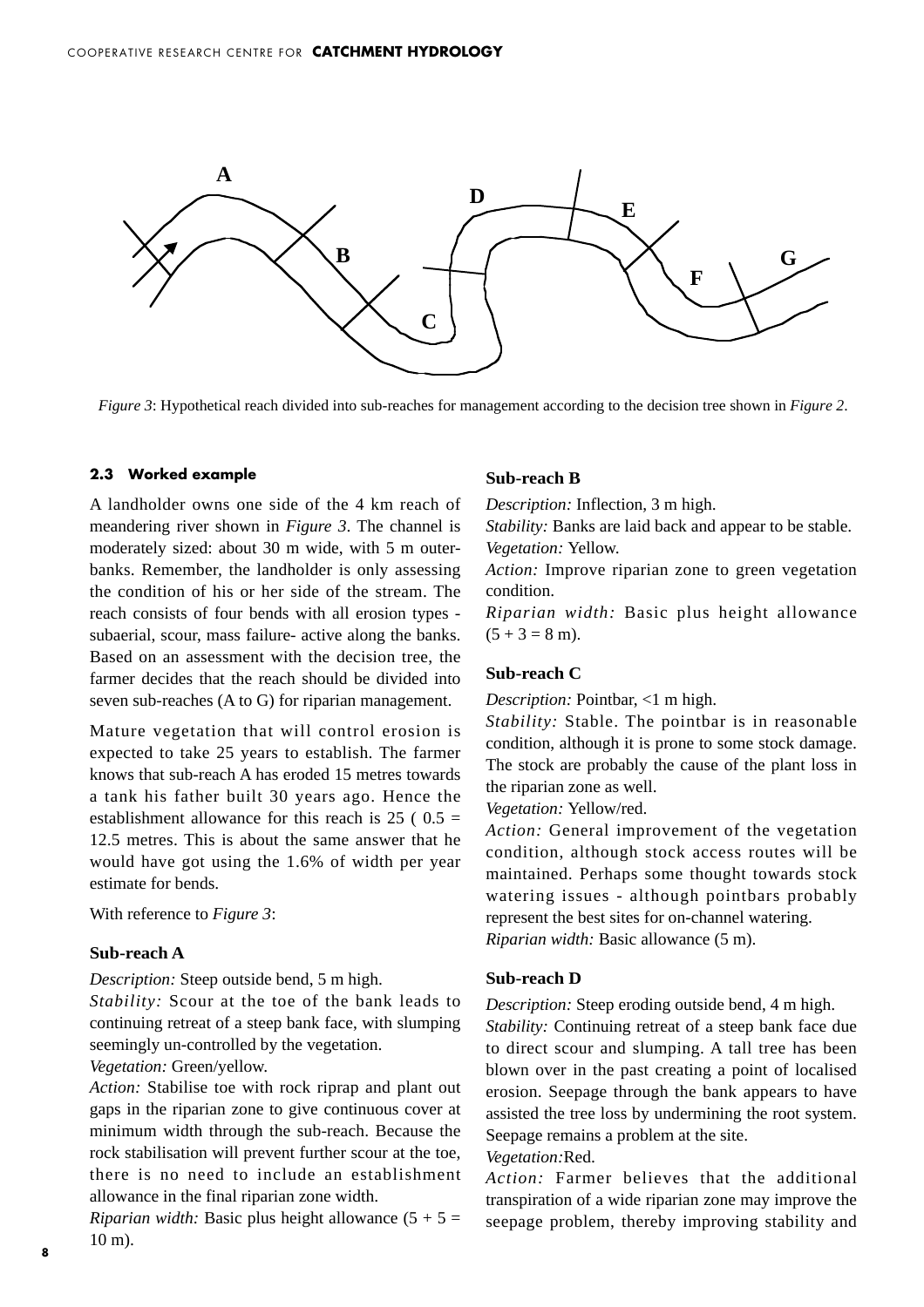

*Figure 3*: Hypothetical reach divided into sub-reaches for management according to the decision tree shown in *Figure 2*.

#### **2.3 Worked example**

A landholder owns one side of the 4 km reach of meandering river shown in *Figure 3*. The channel is moderately sized: about 30 m wide, with 5 m outerbanks. Remember, the landholder is only assessing the condition of his or her side of the stream. The reach consists of four bends with all erosion types subaerial, scour, mass failure- active along the banks. Based on an assessment with the decision tree, the farmer decides that the reach should be divided into seven sub-reaches (A to G) for riparian management.

Mature vegetation that will control erosion is expected to take 25 years to establish. The farmer knows that sub-reach A has eroded 15 metres towards a tank his father built 30 years ago. Hence the establishment allowance for this reach is  $25$  ( $0.5 =$ 12.5 metres. This is about the same answer that he would have got using the 1.6% of width per year estimate for bends.

With reference to *Figure 3*:

### **Sub-reach A**

*Description:* Steep outside bend, 5 m high.

*Stability:* Scour at the toe of the bank leads to continuing retreat of a steep bank face, with slumping seemingly un-controlled by the vegetation.

### *Vegetation:* Green/yellow.

*Action:* Stabilise toe with rock riprap and plant out gaps in the riparian zone to give continuous cover at minimum width through the sub-reach. Because the rock stabilisation will prevent further scour at the toe, there is no need to include an establishment allowance in the final riparian zone width.

*Riparian width:* Basic plus height allowance  $(5 + 5 = 1)$ 10 m).

#### **Sub-reach B**

*Description:* Inflection, 3 m high.

*Stability:* Banks are laid back and appear to be stable. *Vegetation:* Yellow.

*Action:* Improve riparian zone to green vegetation condition.

*Riparian width:* Basic plus height allowance  $(5 + 3 = 8 \text{ m}).$ 

#### **Sub-reach C**

*Description:* Pointbar, <1 m high.

*Stability:* Stable. The pointbar is in reasonable condition, although it is prone to some stock damage. The stock are probably the cause of the plant loss in the riparian zone as well.

*Vegetation:* Yellow/red.

*Action:* General improvement of the vegetation condition, although stock access routes will be maintained. Perhaps some thought towards stock watering issues - although pointbars probably represent the best sites for on-channel watering. *Riparian width:* Basic allowance (5 m).

### **Sub-reach D**

*Description:* Steep eroding outside bend, 4 m high.

*Stability:* Continuing retreat of a steep bank face due to direct scour and slumping. A tall tree has been blown over in the past creating a point of localised erosion. Seepage through the bank appears to have assisted the tree loss by undermining the root system. Seepage remains a problem at the site.

#### *Vegetation:*Red.

*Action:* Farmer believes that the additional transpiration of a wide riparian zone may improve the seepage problem, thereby improving stability and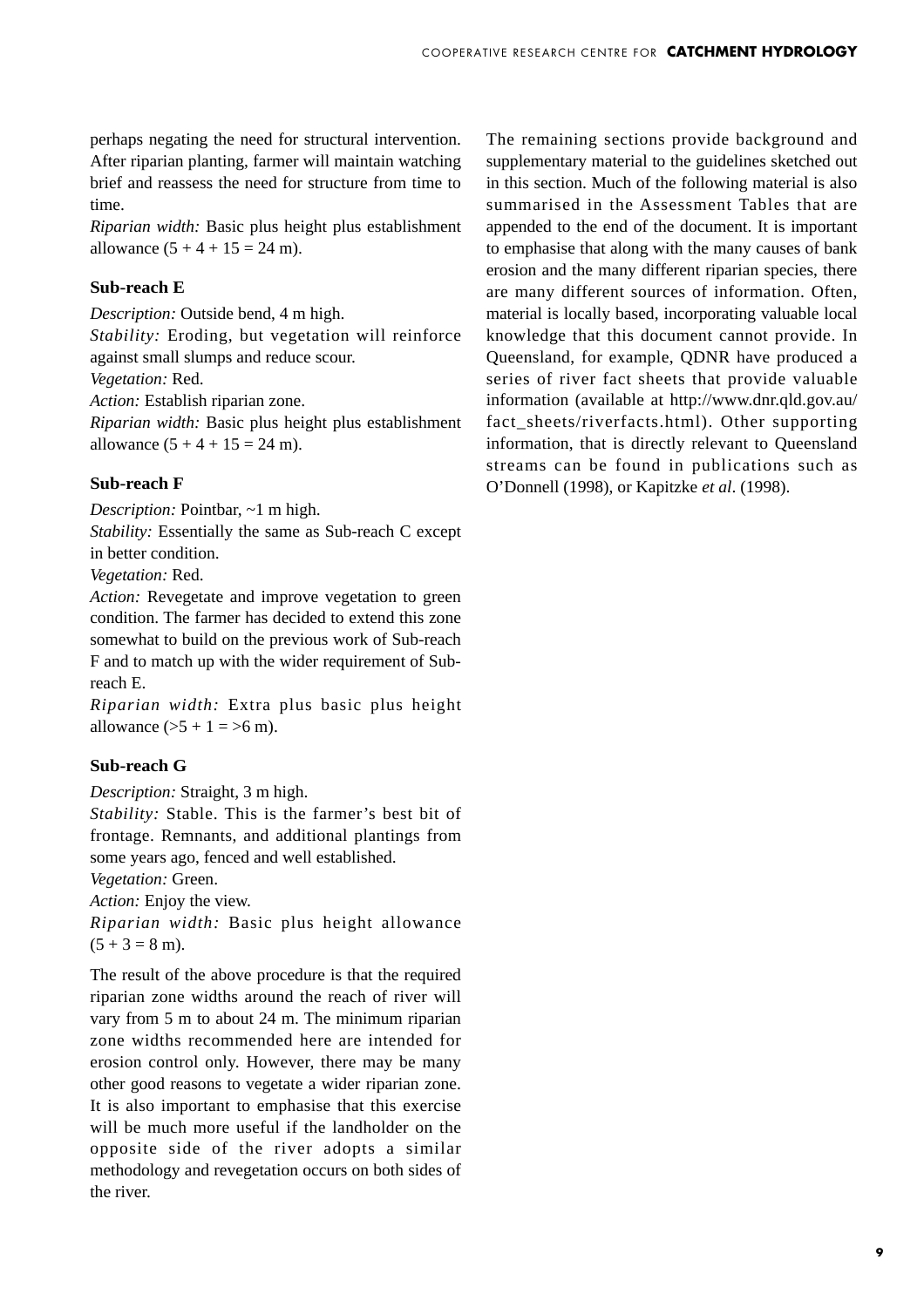perhaps negating the need for structural intervention. After riparian planting, farmer will maintain watching brief and reassess the need for structure from time to time.

*Riparian width:* Basic plus height plus establishment allowance  $(5 + 4 + 15 = 24$  m).

# **Sub-reach E**

*Description:* Outside bend, 4 m high.

*Stability:* Eroding, but vegetation will reinforce against small slumps and reduce scour.

*Vegetation:* Red.

*Action:* Establish riparian zone.

*Riparian width:* Basic plus height plus establishment allowance  $(5 + 4 + 15 = 24$  m).

### **Sub-reach F**

*Description:* Pointbar, ~1 m high.

*Stability:* Essentially the same as Sub-reach C except in better condition.

*Vegetation:* Red.

*Action:* Revegetate and improve vegetation to green condition. The farmer has decided to extend this zone somewhat to build on the previous work of Sub-reach F and to match up with the wider requirement of Subreach E.

*Riparian width:* Extra plus basic plus height allowance  $(5 + 1) = 6$  m).

# **Sub-reach G**

*Description:* Straight, 3 m high.

*Stability:* Stable. This is the farmer's best bit of frontage. Remnants, and additional plantings from some years ago, fenced and well established.

*Vegetation:* Green.

*Action:* Enjoy the view.

*Riparian width:* Basic plus height allowance  $(5 + 3 = 8$  m).

The result of the above procedure is that the required riparian zone widths around the reach of river will vary from 5 m to about 24 m. The minimum riparian zone widths recommended here are intended for erosion control only. However, there may be many other good reasons to vegetate a wider riparian zone. It is also important to emphasise that this exercise will be much more useful if the landholder on the opposite side of the river adopts a similar methodology and revegetation occurs on both sides of the river.

The remaining sections provide background and supplementary material to the guidelines sketched out in this section. Much of the following material is also summarised in the Assessment Tables that are appended to the end of the document. It is important to emphasise that along with the many causes of bank erosion and the many different riparian species, there are many different sources of information. Often, material is locally based, incorporating valuable local knowledge that this document cannot provide. In Queensland, for example, QDNR have produced a series of river fact sheets that provide valuable information (available at http://www.dnr.qld.gov.au/ fact\_sheets/riverfacts.html). Other supporting information, that is directly relevant to Queensland streams can be found in publications such as O'Donnell (1998), or Kapitzke *et al*. (1998).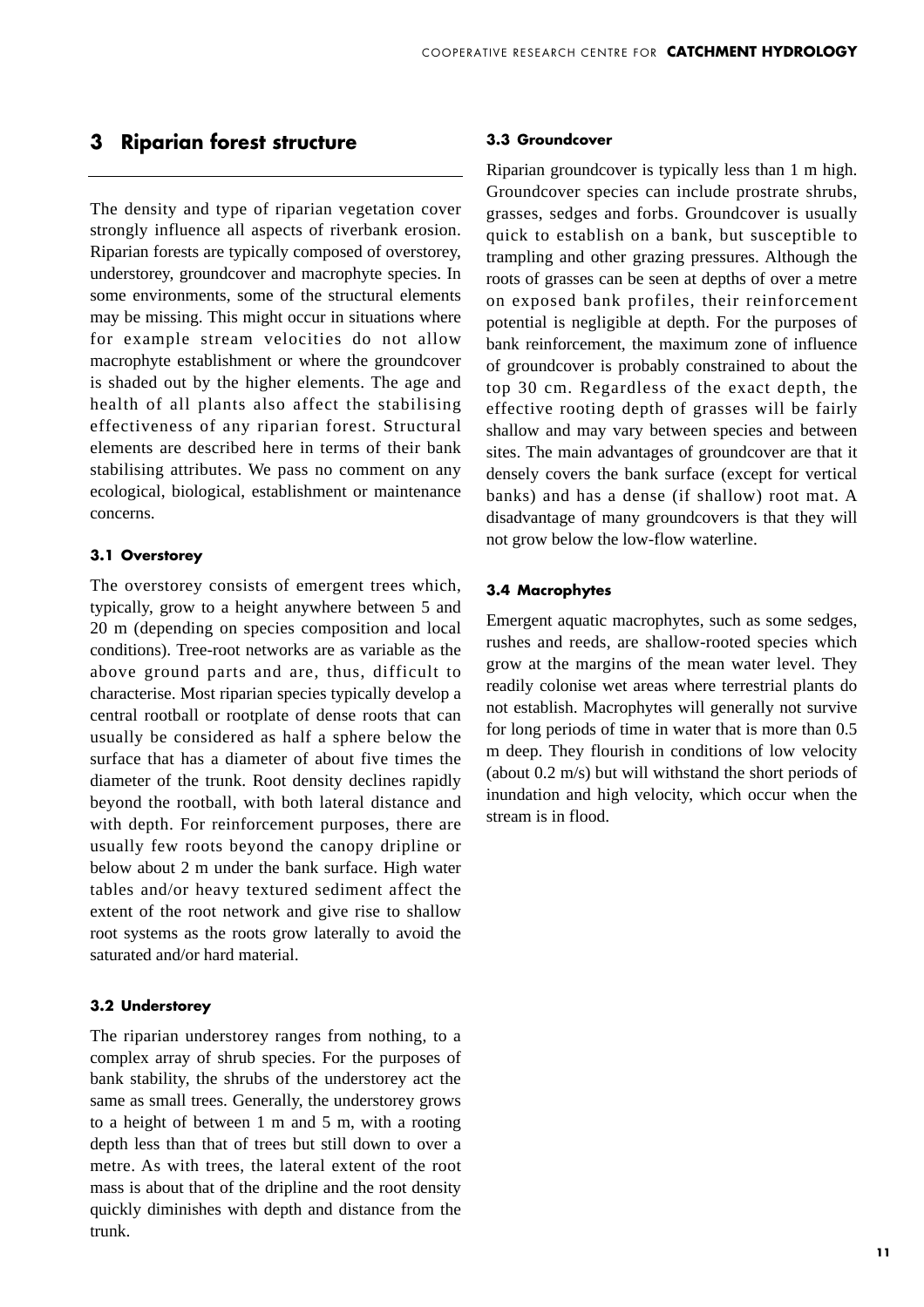# **3 Riparian forest structure**

The density and type of riparian vegetation cover strongly influence all aspects of riverbank erosion. Riparian forests are typically composed of overstorey, understorey, groundcover and macrophyte species. In some environments, some of the structural elements may be missing. This might occur in situations where for example stream velocities do not allow macrophyte establishment or where the groundcover is shaded out by the higher elements. The age and health of all plants also affect the stabilising effectiveness of any riparian forest. Structural elements are described here in terms of their bank stabilising attributes. We pass no comment on any ecological, biological, establishment or maintenance concerns.

### **3.1 Overstorey**

The overstorey consists of emergent trees which, typically, grow to a height anywhere between 5 and 20 m (depending on species composition and local conditions). Tree-root networks are as variable as the above ground parts and are, thus, difficult to characterise. Most riparian species typically develop a central rootball or rootplate of dense roots that can usually be considered as half a sphere below the surface that has a diameter of about five times the diameter of the trunk. Root density declines rapidly beyond the rootball, with both lateral distance and with depth. For reinforcement purposes, there are usually few roots beyond the canopy dripline or below about 2 m under the bank surface. High water tables and/or heavy textured sediment affect the extent of the root network and give rise to shallow root systems as the roots grow laterally to avoid the saturated and/or hard material.

#### **3.2 Understorey**

The riparian understorey ranges from nothing, to a complex array of shrub species. For the purposes of bank stability, the shrubs of the understorey act the same as small trees. Generally, the understorey grows to a height of between 1 m and 5 m, with a rooting depth less than that of trees but still down to over a metre. As with trees, the lateral extent of the root mass is about that of the dripline and the root density quickly diminishes with depth and distance from the trunk.

#### **3.3 Groundcover**

Riparian groundcover is typically less than 1 m high. Groundcover species can include prostrate shrubs, grasses, sedges and forbs. Groundcover is usually quick to establish on a bank, but susceptible to trampling and other grazing pressures. Although the roots of grasses can be seen at depths of over a metre on exposed bank profiles, their reinforcement potential is negligible at depth. For the purposes of bank reinforcement, the maximum zone of influence of groundcover is probably constrained to about the top 30 cm. Regardless of the exact depth, the effective rooting depth of grasses will be fairly shallow and may vary between species and between sites. The main advantages of groundcover are that it densely covers the bank surface (except for vertical banks) and has a dense (if shallow) root mat. A disadvantage of many groundcovers is that they will not grow below the low-flow waterline.

#### **3.4 Macrophytes**

Emergent aquatic macrophytes, such as some sedges, rushes and reeds, are shallow-rooted species which grow at the margins of the mean water level. They readily colonise wet areas where terrestrial plants do not establish. Macrophytes will generally not survive for long periods of time in water that is more than 0.5 m deep. They flourish in conditions of low velocity (about 0.2 m/s) but will withstand the short periods of inundation and high velocity, which occur when the stream is in flood.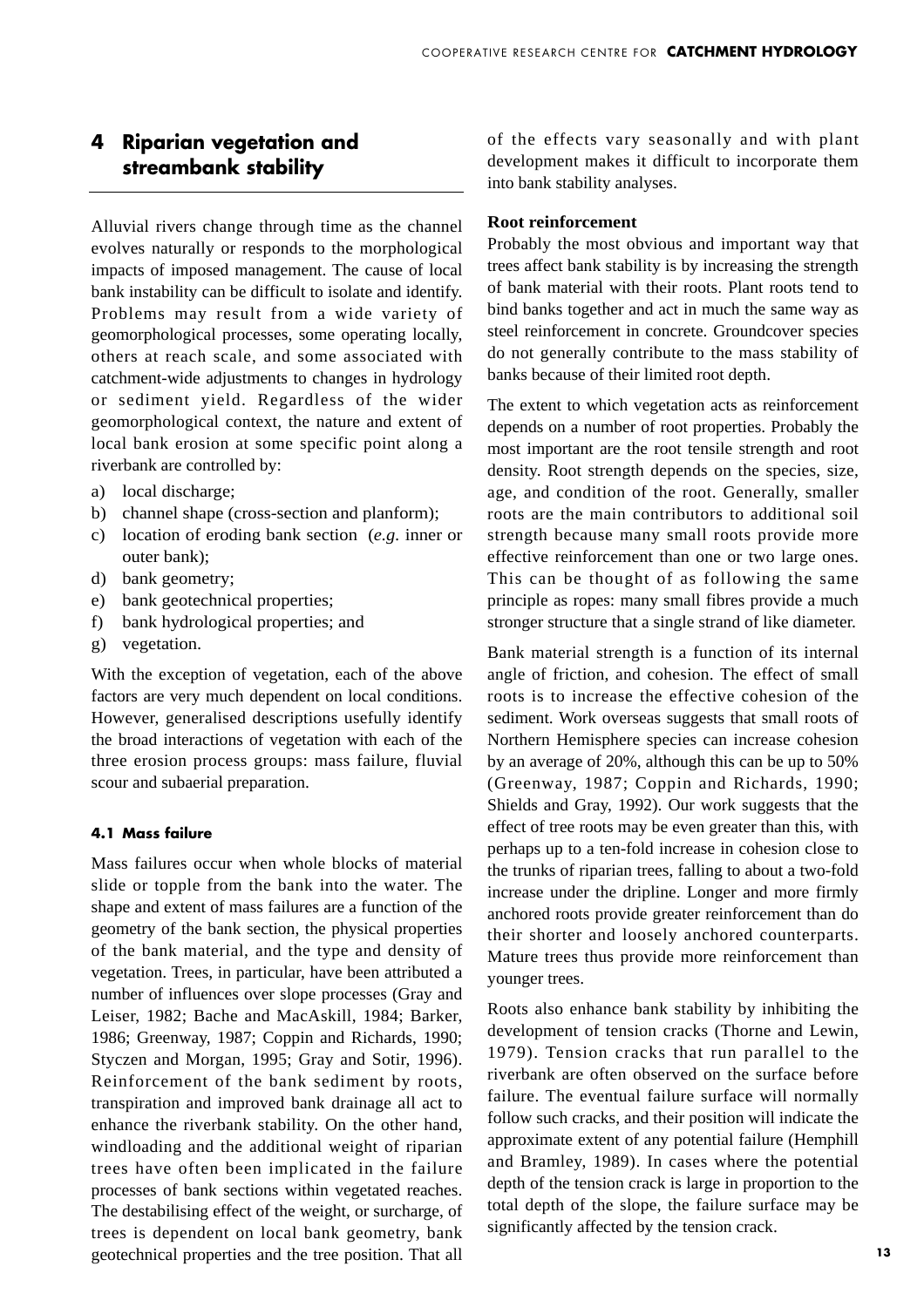# **4 Riparian vegetation and streambank stability**

Alluvial rivers change through time as the channel evolves naturally or responds to the morphological impacts of imposed management. The cause of local bank instability can be difficult to isolate and identify. Problems may result from a wide variety of geomorphological processes, some operating locally, others at reach scale, and some associated with catchment-wide adjustments to changes in hydrology or sediment yield. Regardless of the wider geomorphological context, the nature and extent of local bank erosion at some specific point along a riverbank are controlled by:

- a) local discharge;
- b) channel shape (cross-section and planform);
- c) location of eroding bank section (*e.g.* inner or outer bank);
- d) bank geometry;
- e) bank geotechnical properties;
- f) bank hydrological properties; and
- g) vegetation.

With the exception of vegetation, each of the above factors are very much dependent on local conditions. However, generalised descriptions usefully identify the broad interactions of vegetation with each of the three erosion process groups: mass failure, fluvial scour and subaerial preparation.

#### **4.1 Mass failure**

Mass failures occur when whole blocks of material slide or topple from the bank into the water. The shape and extent of mass failures are a function of the geometry of the bank section, the physical properties of the bank material, and the type and density of vegetation. Trees, in particular, have been attributed a number of influences over slope processes (Gray and Leiser, 1982; Bache and MacAskill, 1984; Barker, 1986; Greenway, 1987; Coppin and Richards, 1990; Styczen and Morgan, 1995; Gray and Sotir, 1996). Reinforcement of the bank sediment by roots, transpiration and improved bank drainage all act to enhance the riverbank stability. On the other hand, windloading and the additional weight of riparian trees have often been implicated in the failure processes of bank sections within vegetated reaches. The destabilising effect of the weight, or surcharge, of trees is dependent on local bank geometry, bank geotechnical properties and the tree position. That all

of the effects vary seasonally and with plant development makes it difficult to incorporate them into bank stability analyses.

### **Root reinforcement**

Probably the most obvious and important way that trees affect bank stability is by increasing the strength of bank material with their roots. Plant roots tend to bind banks together and act in much the same way as steel reinforcement in concrete. Groundcover species do not generally contribute to the mass stability of banks because of their limited root depth.

The extent to which vegetation acts as reinforcement depends on a number of root properties. Probably the most important are the root tensile strength and root density. Root strength depends on the species, size, age, and condition of the root. Generally, smaller roots are the main contributors to additional soil strength because many small roots provide more effective reinforcement than one or two large ones. This can be thought of as following the same principle as ropes: many small fibres provide a much stronger structure that a single strand of like diameter.

Bank material strength is a function of its internal angle of friction, and cohesion. The effect of small roots is to increase the effective cohesion of the sediment. Work overseas suggests that small roots of Northern Hemisphere species can increase cohesion by an average of 20%, although this can be up to 50% (Greenway, 1987; Coppin and Richards, 1990; Shields and Gray, 1992). Our work suggests that the effect of tree roots may be even greater than this, with perhaps up to a ten-fold increase in cohesion close to the trunks of riparian trees, falling to about a two-fold increase under the dripline. Longer and more firmly anchored roots provide greater reinforcement than do their shorter and loosely anchored counterparts. Mature trees thus provide more reinforcement than younger trees.

Roots also enhance bank stability by inhibiting the development of tension cracks (Thorne and Lewin, 1979). Tension cracks that run parallel to the riverbank are often observed on the surface before failure. The eventual failure surface will normally follow such cracks, and their position will indicate the approximate extent of any potential failure (Hemphill and Bramley, 1989). In cases where the potential depth of the tension crack is large in proportion to the total depth of the slope, the failure surface may be significantly affected by the tension crack.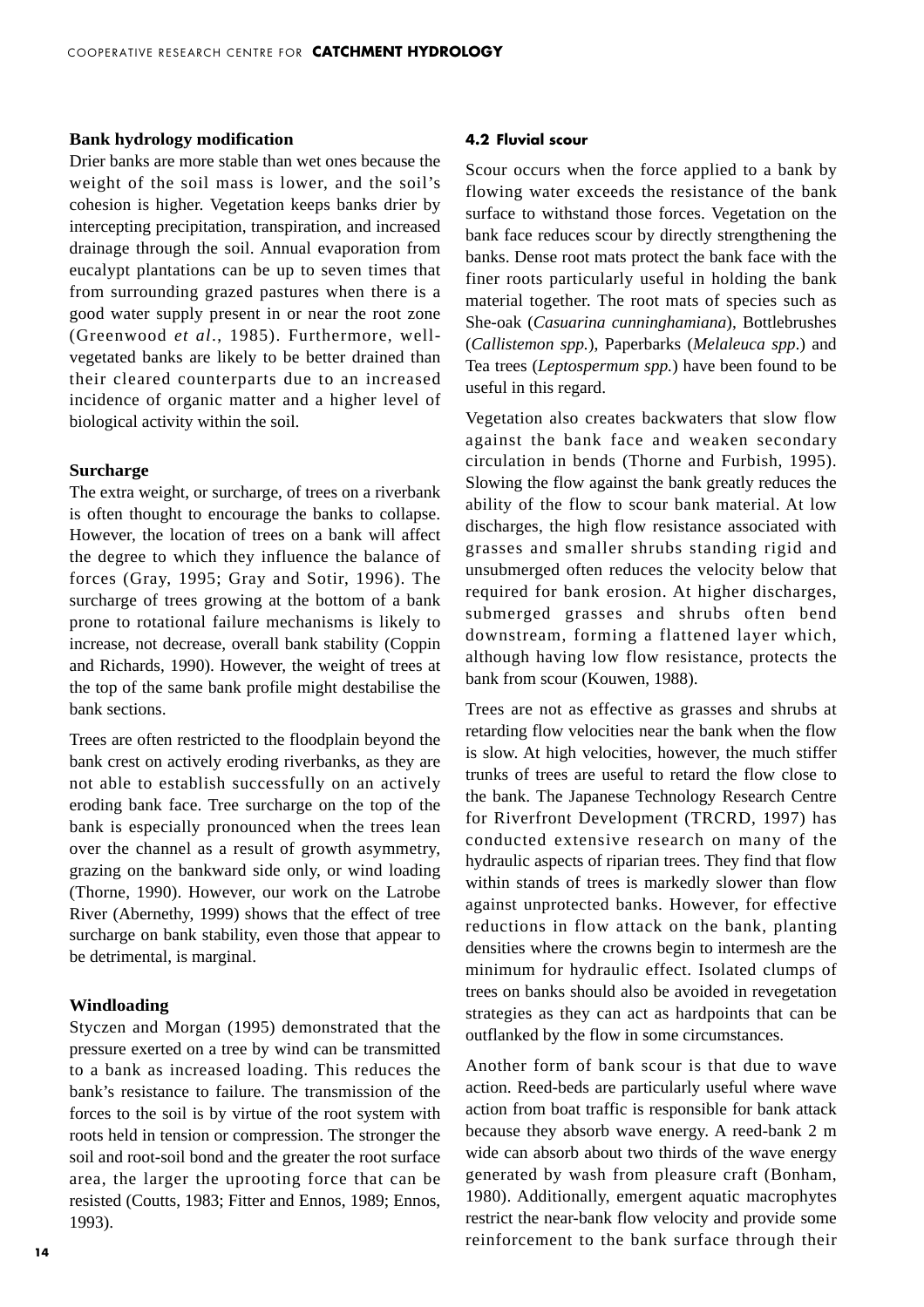#### **Bank hydrology modification**

Drier banks are more stable than wet ones because the weight of the soil mass is lower, and the soil's cohesion is higher. Vegetation keeps banks drier by intercepting precipitation, transpiration, and increased drainage through the soil. Annual evaporation from eucalypt plantations can be up to seven times that from surrounding grazed pastures when there is a good water supply present in or near the root zone (Greenwood *et al*., 1985). Furthermore, wellvegetated banks are likely to be better drained than their cleared counterparts due to an increased incidence of organic matter and a higher level of biological activity within the soil.

#### **Surcharge**

The extra weight, or surcharge, of trees on a riverbank is often thought to encourage the banks to collapse. However, the location of trees on a bank will affect the degree to which they influence the balance of forces (Gray, 1995; Gray and Sotir, 1996). The surcharge of trees growing at the bottom of a bank prone to rotational failure mechanisms is likely to increase, not decrease, overall bank stability (Coppin and Richards, 1990). However, the weight of trees at the top of the same bank profile might destabilise the bank sections.

Trees are often restricted to the floodplain beyond the bank crest on actively eroding riverbanks, as they are not able to establish successfully on an actively eroding bank face. Tree surcharge on the top of the bank is especially pronounced when the trees lean over the channel as a result of growth asymmetry, grazing on the bankward side only, or wind loading (Thorne, 1990). However, our work on the Latrobe River (Abernethy, 1999) shows that the effect of tree surcharge on bank stability, even those that appear to be detrimental, is marginal.

#### **Windloading**

Styczen and Morgan (1995) demonstrated that the pressure exerted on a tree by wind can be transmitted to a bank as increased loading. This reduces the bank's resistance to failure. The transmission of the forces to the soil is by virtue of the root system with roots held in tension or compression. The stronger the soil and root-soil bond and the greater the root surface area, the larger the uprooting force that can be resisted (Coutts, 1983; Fitter and Ennos, 1989; Ennos, 1993).

#### **4.2 Fluvial scour**

Scour occurs when the force applied to a bank by flowing water exceeds the resistance of the bank surface to withstand those forces. Vegetation on the bank face reduces scour by directly strengthening the banks. Dense root mats protect the bank face with the finer roots particularly useful in holding the bank material together. The root mats of species such as She-oak (*Casuarina cunninghamiana*), Bottlebrushes (*Callistemon spp.*), Paperbarks (*Melaleuca spp*.) and Tea trees (*Leptospermum spp.*) have been found to be useful in this regard.

Vegetation also creates backwaters that slow flow against the bank face and weaken secondary circulation in bends (Thorne and Furbish, 1995). Slowing the flow against the bank greatly reduces the ability of the flow to scour bank material. At low discharges, the high flow resistance associated with grasses and smaller shrubs standing rigid and unsubmerged often reduces the velocity below that required for bank erosion. At higher discharges, submerged grasses and shrubs often bend downstream, forming a flattened layer which, although having low flow resistance, protects the bank from scour (Kouwen, 1988).

Trees are not as effective as grasses and shrubs at retarding flow velocities near the bank when the flow is slow. At high velocities, however, the much stiffer trunks of trees are useful to retard the flow close to the bank. The Japanese Technology Research Centre for Riverfront Development (TRCRD, 1997) has conducted extensive research on many of the hydraulic aspects of riparian trees. They find that flow within stands of trees is markedly slower than flow against unprotected banks. However, for effective reductions in flow attack on the bank, planting densities where the crowns begin to intermesh are the minimum for hydraulic effect. Isolated clumps of trees on banks should also be avoided in revegetation strategies as they can act as hardpoints that can be outflanked by the flow in some circumstances.

Another form of bank scour is that due to wave action. Reed-beds are particularly useful where wave action from boat traffic is responsible for bank attack because they absorb wave energy. A reed-bank 2 m wide can absorb about two thirds of the wave energy generated by wash from pleasure craft (Bonham, 1980). Additionally, emergent aquatic macrophytes restrict the near-bank flow velocity and provide some reinforcement to the bank surface through their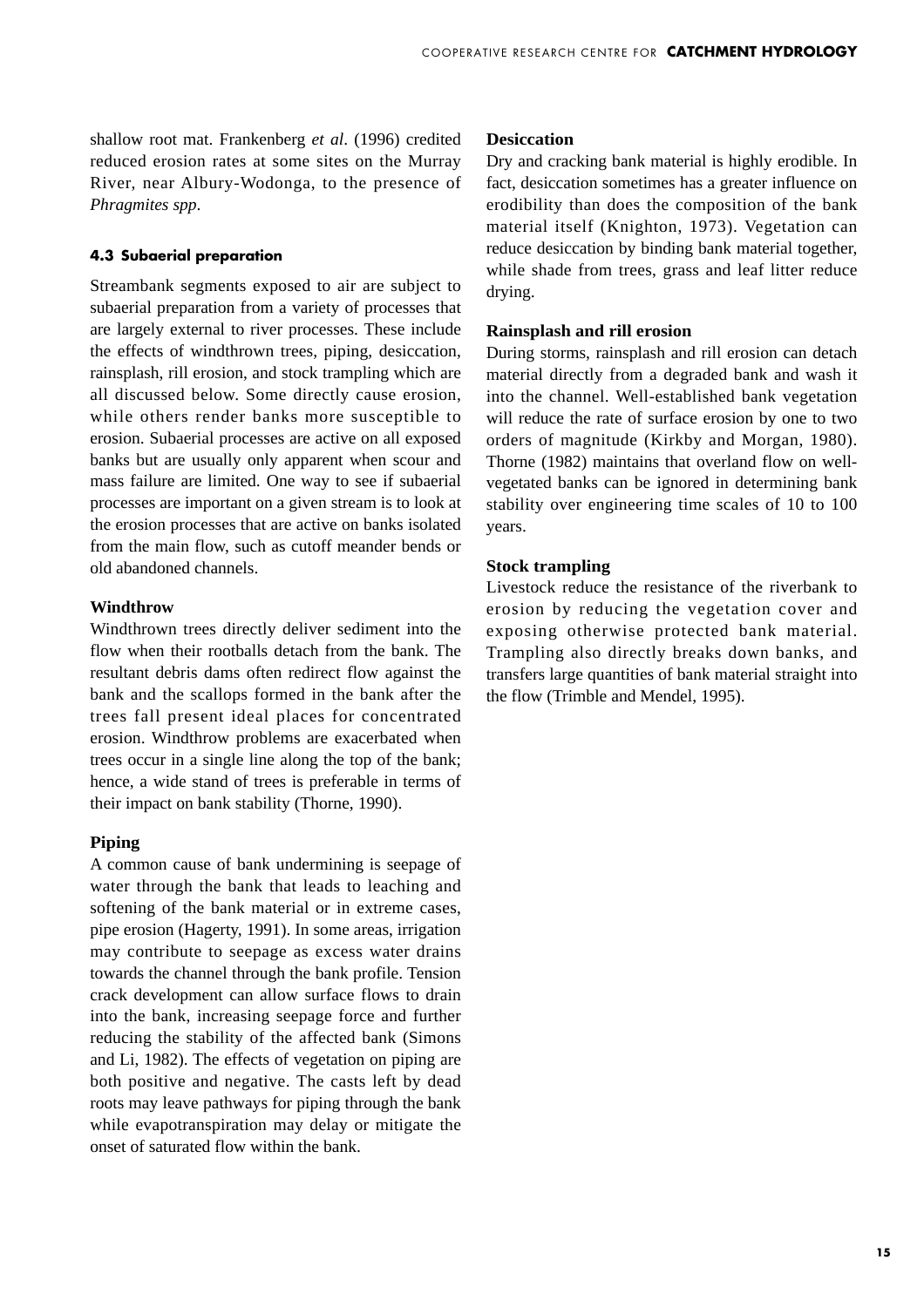shallow root mat. Frankenberg *et al*. (1996) credited reduced erosion rates at some sites on the Murray River, near Albury-Wodonga, to the presence of *Phragmites spp*.

## **4.3 Subaerial preparation**

Streambank segments exposed to air are subject to subaerial preparation from a variety of processes that are largely external to river processes. These include the effects of windthrown trees, piping, desiccation, rainsplash, rill erosion, and stock trampling which are all discussed below. Some directly cause erosion, while others render banks more susceptible to erosion. Subaerial processes are active on all exposed banks but are usually only apparent when scour and mass failure are limited. One way to see if subaerial processes are important on a given stream is to look at the erosion processes that are active on banks isolated from the main flow, such as cutoff meander bends or old abandoned channels.

### **Windthrow**

Windthrown trees directly deliver sediment into the flow when their rootballs detach from the bank. The resultant debris dams often redirect flow against the bank and the scallops formed in the bank after the trees fall present ideal places for concentrated erosion. Windthrow problems are exacerbated when trees occur in a single line along the top of the bank; hence, a wide stand of trees is preferable in terms of their impact on bank stability (Thorne, 1990).

# **Piping**

A common cause of bank undermining is seepage of water through the bank that leads to leaching and softening of the bank material or in extreme cases, pipe erosion (Hagerty, 1991). In some areas, irrigation may contribute to seepage as excess water drains towards the channel through the bank profile. Tension crack development can allow surface flows to drain into the bank, increasing seepage force and further reducing the stability of the affected bank (Simons and Li, 1982). The effects of vegetation on piping are both positive and negative. The casts left by dead roots may leave pathways for piping through the bank while evapotranspiration may delay or mitigate the onset of saturated flow within the bank.

#### **Desiccation**

Dry and cracking bank material is highly erodible. In fact, desiccation sometimes has a greater influence on erodibility than does the composition of the bank material itself (Knighton, 1973). Vegetation can reduce desiccation by binding bank material together, while shade from trees, grass and leaf litter reduce drying.

### **Rainsplash and rill erosion**

During storms, rainsplash and rill erosion can detach material directly from a degraded bank and wash it into the channel. Well-established bank vegetation will reduce the rate of surface erosion by one to two orders of magnitude (Kirkby and Morgan, 1980). Thorne (1982) maintains that overland flow on wellvegetated banks can be ignored in determining bank stability over engineering time scales of 10 to 100 years.

### **Stock trampling**

Livestock reduce the resistance of the riverbank to erosion by reducing the vegetation cover and exposing otherwise protected bank material. Trampling also directly breaks down banks, and transfers large quantities of bank material straight into the flow (Trimble and Mendel, 1995).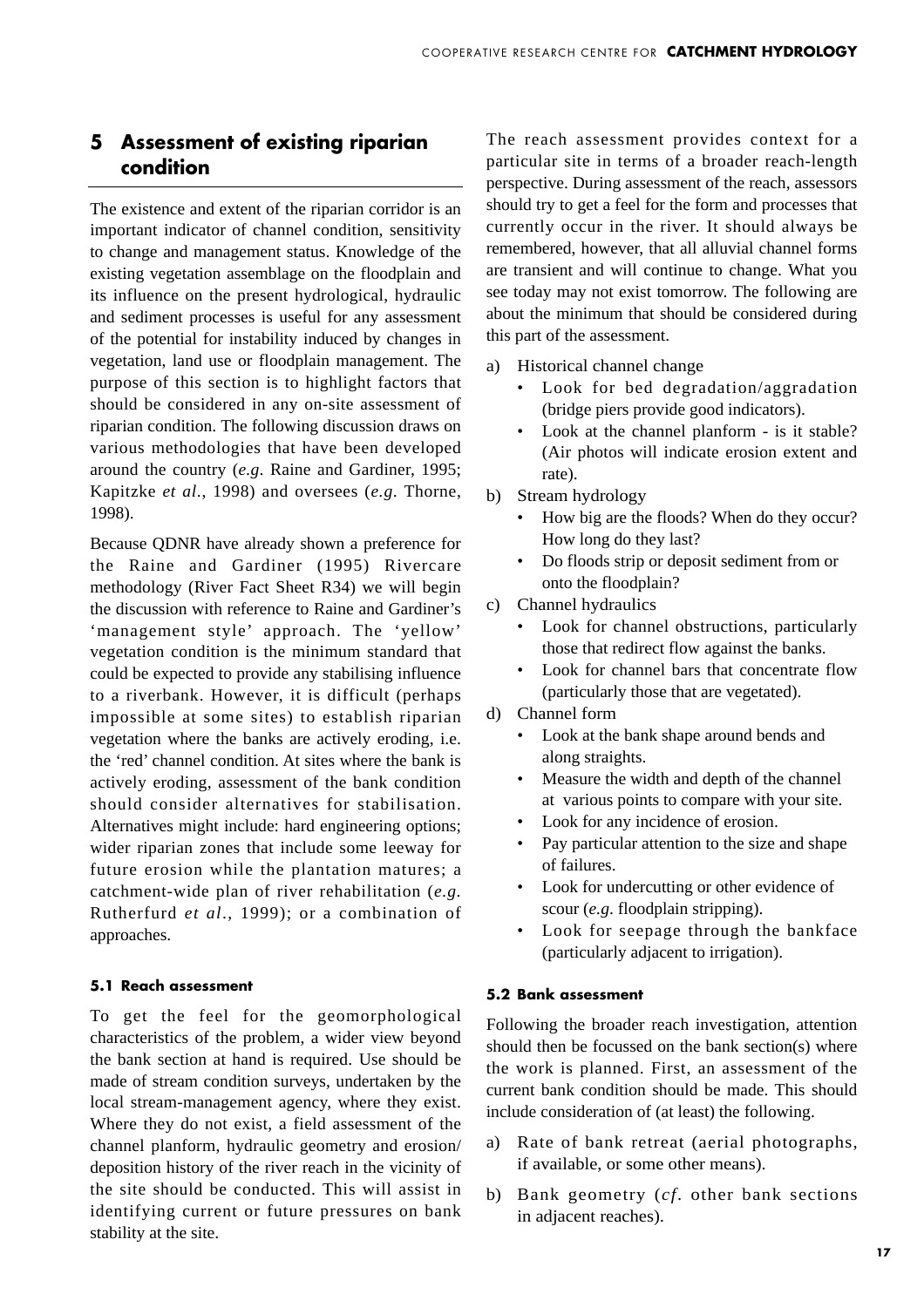# **5 Assessment of existing riparian condition**

The existence and extent of the riparian corridor is an important indicator of channel condition, sensitivity to change and management status. Knowledge of the existing vegetation assemblage on the floodplain and its influence on the present hydrological, hydraulic and sediment processes is useful for any assessment of the potential for instability induced by changes in vegetation, land use or floodplain management. The purpose of this section is to highlight factors that should be considered in any on-site assessment of riparian condition. The following discussion draws on various methodologies that have been developed around the country (*e.g*. Raine and Gardiner, 1995; Kapitzke *et al*., 1998) and oversees (*e.g*. Thorne, 1998).

Because QDNR have already shown a preference for the Raine and Gardiner (1995) Rivercare methodology (River Fact Sheet R34) we will begin the discussion with reference to Raine and Gardiner's 'management style' approach. The 'yellow' vegetation condition is the minimum standard that could be expected to provide any stabilising influence to a riverbank. However, it is difficult (perhaps impossible at some sites) to establish riparian vegetation where the banks are actively eroding, i.e. the 'red' channel condition. At sites where the bank is actively eroding, assessment of the bank condition should consider alternatives for stabilisation. Alternatives might include: hard engineering options; wider riparian zones that include some leeway for future erosion while the plantation matures; a catchment-wide plan of river rehabilitation (*e.g.* Rutherfurd *et al*., 1999); or a combination of approaches.

### **5.1 Reach assessment**

To get the feel for the geomorphological characteristics of the problem, a wider view beyond the bank section at hand is required. Use should be made of stream condition surveys, undertaken by the local stream-management agency, where they exist. Where they do not exist, a field assessment of the channel planform, hydraulic geometry and erosion/ deposition history of the river reach in the vicinity of the site should be conducted. This will assist in identifying current or future pressures on bank stability at the site.

The reach assessment provides context for a particular site in terms of a broader reach-length perspective. During assessment of the reach, assessors should try to get a feel for the form and processes that currently occur in the river. It should always be remembered, however, that all alluvial channel forms are transient and will continue to change. What you see today may not exist tomorrow. The following are about the minimum that should be considered during this part of the assessment.

- a) Historical channel change
	- Look for bed degradation/aggradation (bridge piers provide good indicators).
	- Look at the channel planform is it stable? (Air photos will indicate erosion extent and rate).
- b) Stream hydrology
	- How big are the floods? When do they occur? How long do they last?
	- Do floods strip or deposit sediment from or onto the floodplain?
- c) Channel hydraulics
	- Look for channel obstructions, particularly those that redirect flow against the banks.
	- Look for channel bars that concentrate flow (particularly those that are vegetated).
- d) Channel form
	- Look at the bank shape around bends and along straights.
	- Measure the width and depth of the channel at various points to compare with your site.
	- Look for any incidence of erosion.
	- Pay particular attention to the size and shape of failures.
	- Look for undercutting or other evidence of scour (*e.g*. floodplain stripping).
	- Look for seepage through the bankface (particularly adjacent to irrigation).

# **5.2 Bank assessment**

Following the broader reach investigation, attention should then be focussed on the bank section(s) where the work is planned. First, an assessment of the current bank condition should be made. This should include consideration of (at least) the following.

- a) Rate of bank retreat (aerial photographs, if available, or some other means).
- b) Bank geometry (*cf*. other bank sections in adjacent reaches).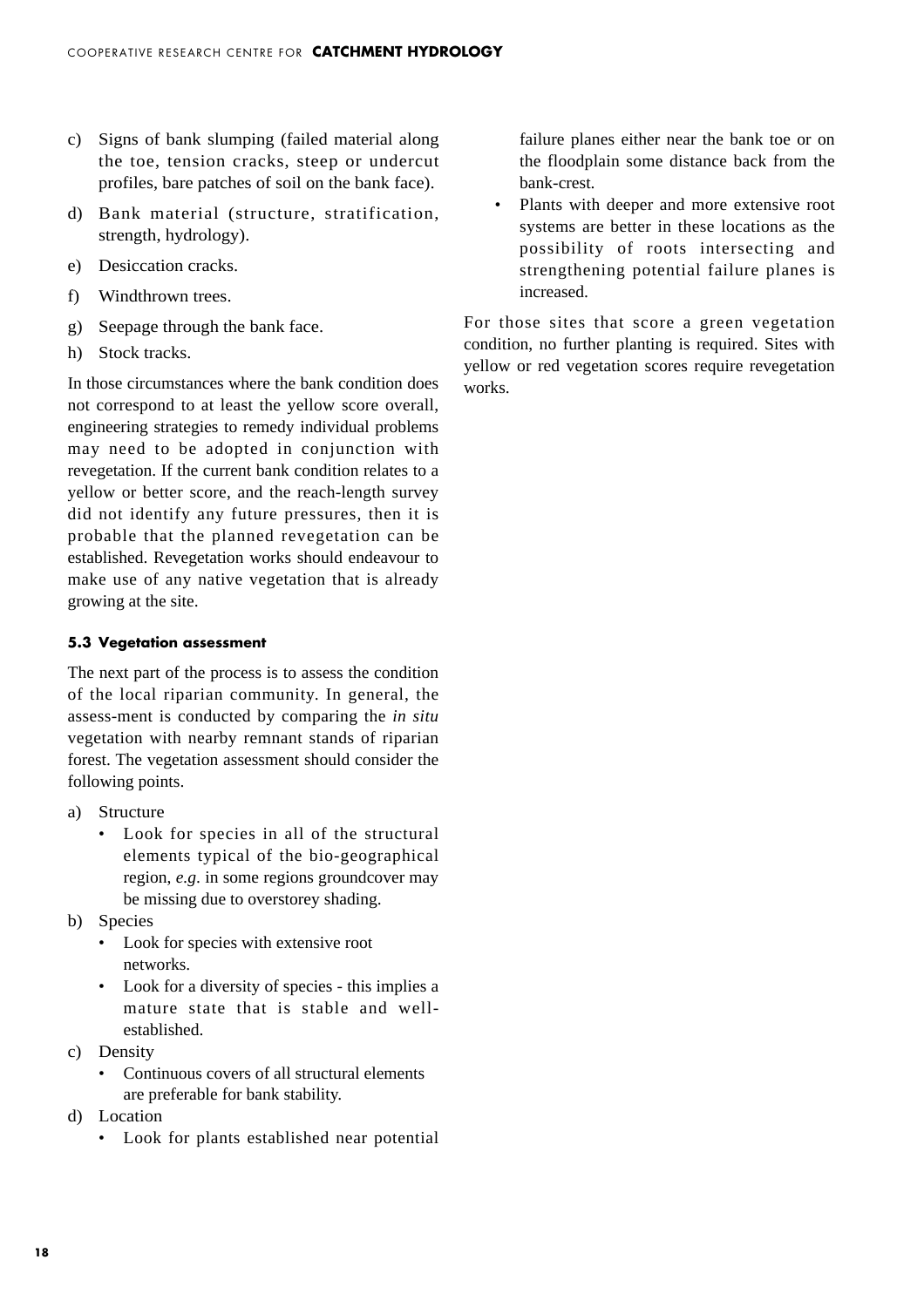- c) Signs of bank slumping (failed material along the toe, tension cracks, steep or undercut profiles, bare patches of soil on the bank face).
- d) Bank material (structure, stratification, strength, hydrology).
- e) Desiccation cracks.
- f) Windthrown trees.
- g) Seepage through the bank face.
- h) Stock tracks.

In those circumstances where the bank condition does not correspond to at least the yellow score overall, engineering strategies to remedy individual problems may need to be adopted in conjunction with revegetation. If the current bank condition relates to a yellow or better score, and the reach-length survey did not identify any future pressures, then it is probable that the planned revegetation can be established. Revegetation works should endeavour to make use of any native vegetation that is already growing at the site.

# **5.3 Vegetation assessment**

The next part of the process is to assess the condition of the local riparian community. In general, the assess-ment is conducted by comparing the *in situ* vegetation with nearby remnant stands of riparian forest. The vegetation assessment should consider the following points.

- a) Structure
	- Look for species in all of the structural elements typical of the bio-geographical region, *e.g*. in some regions groundcover may be missing due to overstorey shading.
- b) Species
	- Look for species with extensive root networks.
	- Look for a diversity of species this implies a mature state that is stable and wellestablished.
- c) Density
	- Continuous covers of all structural elements are preferable for bank stability.
- d) Location
	- Look for plants established near potential

failure planes either near the bank toe or on the floodplain some distance back from the bank-crest.

• Plants with deeper and more extensive root systems are better in these locations as the possibility of roots intersecting and strengthening potential failure planes is increased.

For those sites that score a green vegetation condition, no further planting is required. Sites with yellow or red vegetation scores require revegetation works.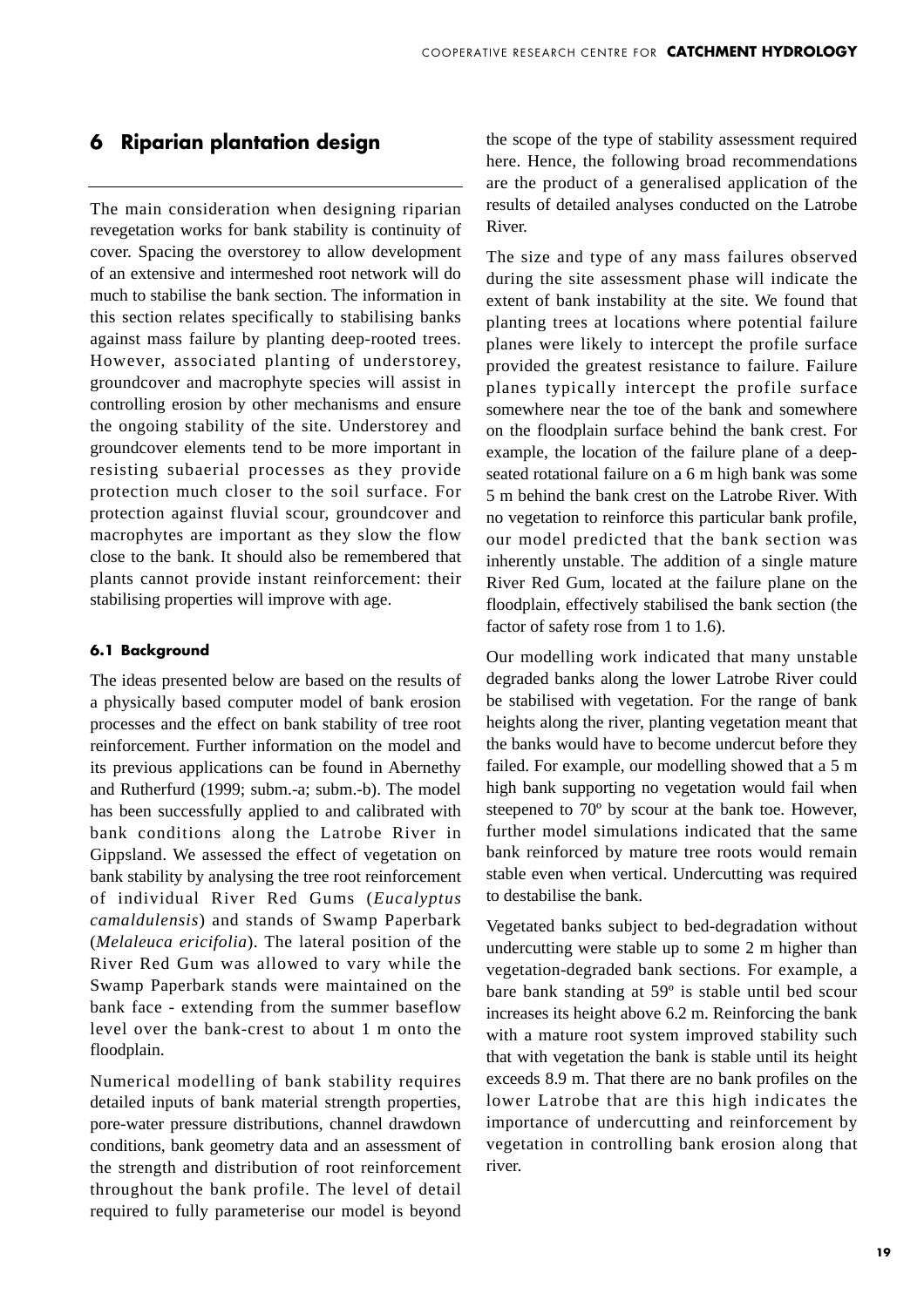# **6 Riparian plantation design**

The main consideration when designing riparian revegetation works for bank stability is continuity of cover. Spacing the overstorey to allow development of an extensive and intermeshed root network will do much to stabilise the bank section. The information in this section relates specifically to stabilising banks against mass failure by planting deep-rooted trees. However, associated planting of understorey, groundcover and macrophyte species will assist in controlling erosion by other mechanisms and ensure the ongoing stability of the site. Understorey and groundcover elements tend to be more important in resisting subaerial processes as they provide protection much closer to the soil surface. For protection against fluvial scour, groundcover and macrophytes are important as they slow the flow close to the bank. It should also be remembered that plants cannot provide instant reinforcement: their stabilising properties will improve with age.

# **6.1 Background**

The ideas presented below are based on the results of a physically based computer model of bank erosion processes and the effect on bank stability of tree root reinforcement. Further information on the model and its previous applications can be found in Abernethy and Rutherfurd (1999; subm.-a; subm.-b). The model has been successfully applied to and calibrated with bank conditions along the Latrobe River in Gippsland. We assessed the effect of vegetation on bank stability by analysing the tree root reinforcement of individual River Red Gums (*Eucalyptus camaldulensis*) and stands of Swamp Paperbark (*Melaleuca ericifolia*). The lateral position of the River Red Gum was allowed to vary while the Swamp Paperbark stands were maintained on the bank face - extending from the summer baseflow level over the bank-crest to about 1 m onto the floodplain.

Numerical modelling of bank stability requires detailed inputs of bank material strength properties, pore-water pressure distributions, channel drawdown conditions, bank geometry data and an assessment of the strength and distribution of root reinforcement throughout the bank profile. The level of detail required to fully parameterise our model is beyond

the scope of the type of stability assessment required here. Hence, the following broad recommendations are the product of a generalised application of the results of detailed analyses conducted on the Latrobe River.

The size and type of any mass failures observed during the site assessment phase will indicate the extent of bank instability at the site. We found that planting trees at locations where potential failure planes were likely to intercept the profile surface provided the greatest resistance to failure. Failure planes typically intercept the profile surface somewhere near the toe of the bank and somewhere on the floodplain surface behind the bank crest. For example, the location of the failure plane of a deepseated rotational failure on a 6 m high bank was some 5 m behind the bank crest on the Latrobe River. With no vegetation to reinforce this particular bank profile, our model predicted that the bank section was inherently unstable. The addition of a single mature River Red Gum, located at the failure plane on the floodplain, effectively stabilised the bank section (the factor of safety rose from 1 to 1.6).

Our modelling work indicated that many unstable degraded banks along the lower Latrobe River could be stabilised with vegetation. For the range of bank heights along the river, planting vegetation meant that the banks would have to become undercut before they failed. For example, our modelling showed that a 5 m high bank supporting no vegetation would fail when steepened to 70º by scour at the bank toe. However, further model simulations indicated that the same bank reinforced by mature tree roots would remain stable even when vertical. Undercutting was required to destabilise the bank.

Vegetated banks subject to bed-degradation without undercutting were stable up to some 2 m higher than vegetation-degraded bank sections. For example, a bare bank standing at 59º is stable until bed scour increases its height above 6.2 m. Reinforcing the bank with a mature root system improved stability such that with vegetation the bank is stable until its height exceeds 8.9 m. That there are no bank profiles on the lower Latrobe that are this high indicates the importance of undercutting and reinforcement by vegetation in controlling bank erosion along that river.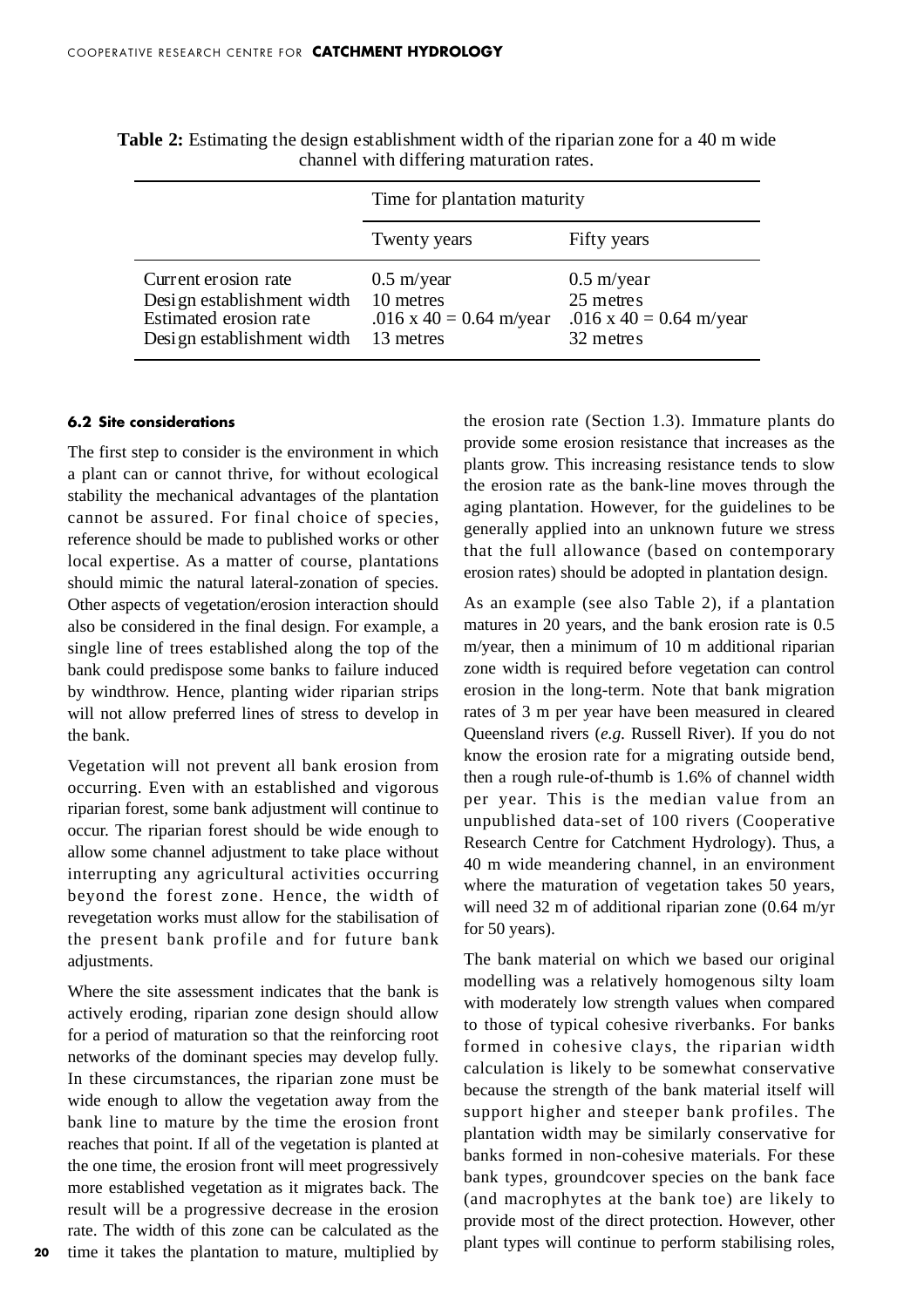|                                                                                                            | Time for plantation maturity                                              |                                                                           |
|------------------------------------------------------------------------------------------------------------|---------------------------------------------------------------------------|---------------------------------------------------------------------------|
|                                                                                                            | Twenty years                                                              | Fifty years                                                               |
| Current erosion rate<br>Design establishment width<br>Estimated erosion rate<br>Design establishment width | $0.5 \text{ m/year}$<br>10 metres<br>.016 x 40 = 0.64 m/year<br>13 metres | $0.5 \text{ m/year}$<br>25 metres<br>.016 x 40 = 0.64 m/year<br>32 metres |

**Table 2:** Estimating the design establishment width of the riparian zone for a 40 m wide channel with differing maturation rates.

#### **6.2 Site considerations**

The first step to consider is the environment in which a plant can or cannot thrive, for without ecological stability the mechanical advantages of the plantation cannot be assured. For final choice of species, reference should be made to published works or other local expertise. As a matter of course, plantations should mimic the natural lateral-zonation of species. Other aspects of vegetation/erosion interaction should also be considered in the final design. For example, a single line of trees established along the top of the bank could predispose some banks to failure induced by windthrow. Hence, planting wider riparian strips will not allow preferred lines of stress to develop in the bank.

Vegetation will not prevent all bank erosion from occurring. Even with an established and vigorous riparian forest, some bank adjustment will continue to occur. The riparian forest should be wide enough to allow some channel adjustment to take place without interrupting any agricultural activities occurring beyond the forest zone. Hence, the width of revegetation works must allow for the stabilisation of the present bank profile and for future bank adjustments.

Where the site assessment indicates that the bank is actively eroding, riparian zone design should allow for a period of maturation so that the reinforcing root networks of the dominant species may develop fully. In these circumstances, the riparian zone must be wide enough to allow the vegetation away from the bank line to mature by the time the erosion front reaches that point. If all of the vegetation is planted at the one time, the erosion front will meet progressively more established vegetation as it migrates back. The result will be a progressive decrease in the erosion rate. The width of this zone can be calculated as the time it takes the plantation to mature, multiplied by

the erosion rate (Section 1.3). Immature plants do provide some erosion resistance that increases as the plants grow. This increasing resistance tends to slow the erosion rate as the bank-line moves through the aging plantation. However, for the guidelines to be generally applied into an unknown future we stress that the full allowance (based on contemporary erosion rates) should be adopted in plantation design.

As an example (see also Table 2), if a plantation matures in 20 years, and the bank erosion rate is 0.5 m/year, then a minimum of 10 m additional riparian zone width is required before vegetation can control erosion in the long-term. Note that bank migration rates of 3 m per year have been measured in cleared Queensland rivers (*e.g.* Russell River). If you do not know the erosion rate for a migrating outside bend, then a rough rule-of-thumb is 1.6% of channel width per year. This is the median value from an unpublished data-set of 100 rivers (Cooperative Research Centre for Catchment Hydrology). Thus, a 40 m wide meandering channel, in an environment where the maturation of vegetation takes 50 years, will need 32 m of additional riparian zone (0.64 m/yr for 50 years).

The bank material on which we based our original modelling was a relatively homogenous silty loam with moderately low strength values when compared to those of typical cohesive riverbanks. For banks formed in cohesive clays, the riparian width calculation is likely to be somewhat conservative because the strength of the bank material itself will support higher and steeper bank profiles. The plantation width may be similarly conservative for banks formed in non-cohesive materials. For these bank types, groundcover species on the bank face (and macrophytes at the bank toe) are likely to provide most of the direct protection. However, other plant types will continue to perform stabilising roles,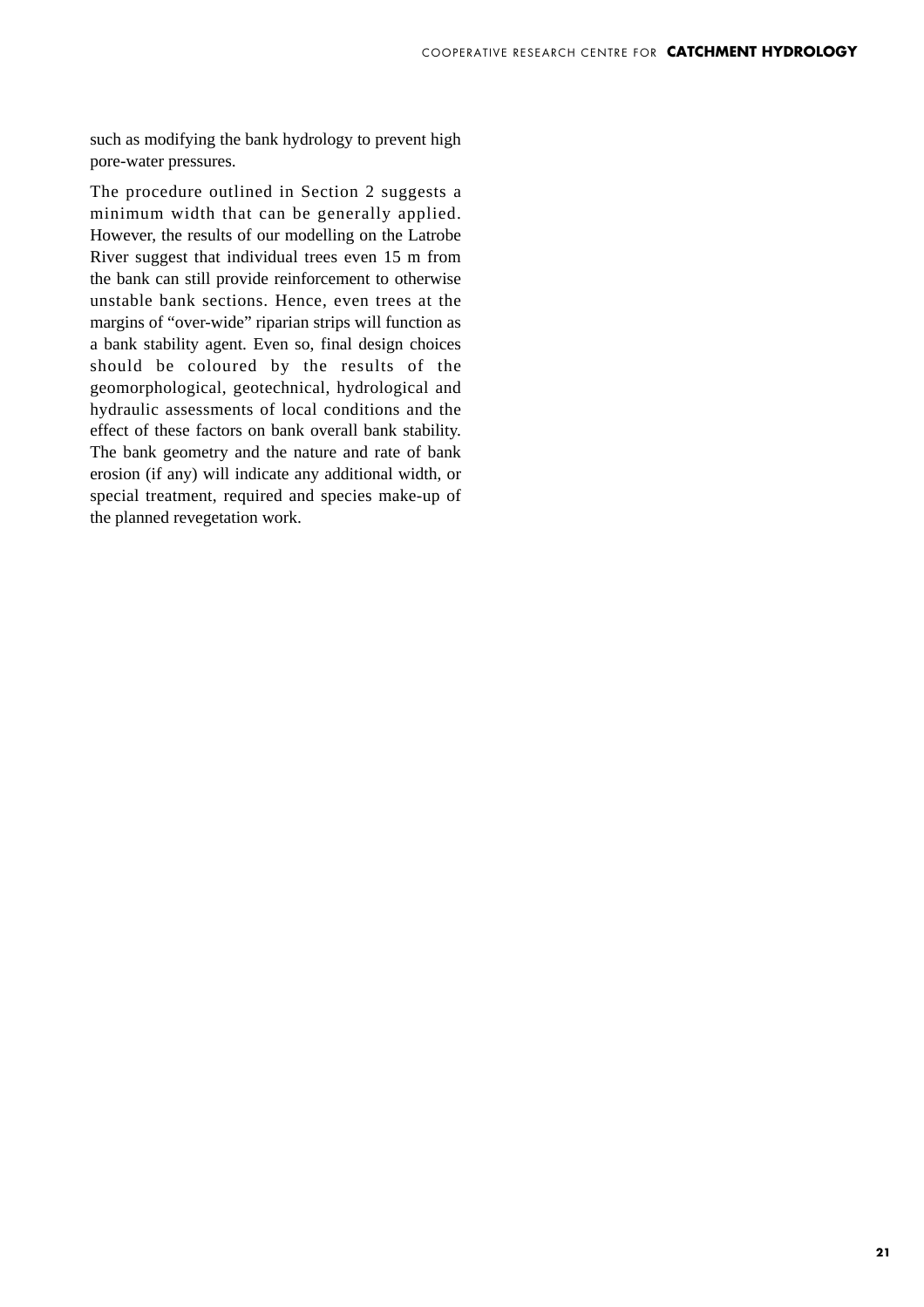such as modifying the bank hydrology to prevent high pore-water pressures.

The procedure outlined in Section 2 suggests a minimum width that can be generally applied. However, the results of our modelling on the Latrobe River suggest that individual trees even 15 m from the bank can still provide reinforcement to otherwise unstable bank sections. Hence, even trees at the margins of "over-wide" riparian strips will function as a bank stability agent. Even so, final design choices should be coloured by the results of the geomorphological, geotechnical, hydrological and hydraulic assessments of local conditions and the effect of these factors on bank overall bank stability. The bank geometry and the nature and rate of bank erosion (if any) will indicate any additional width, or special treatment, required and species make-up of the planned revegetation work.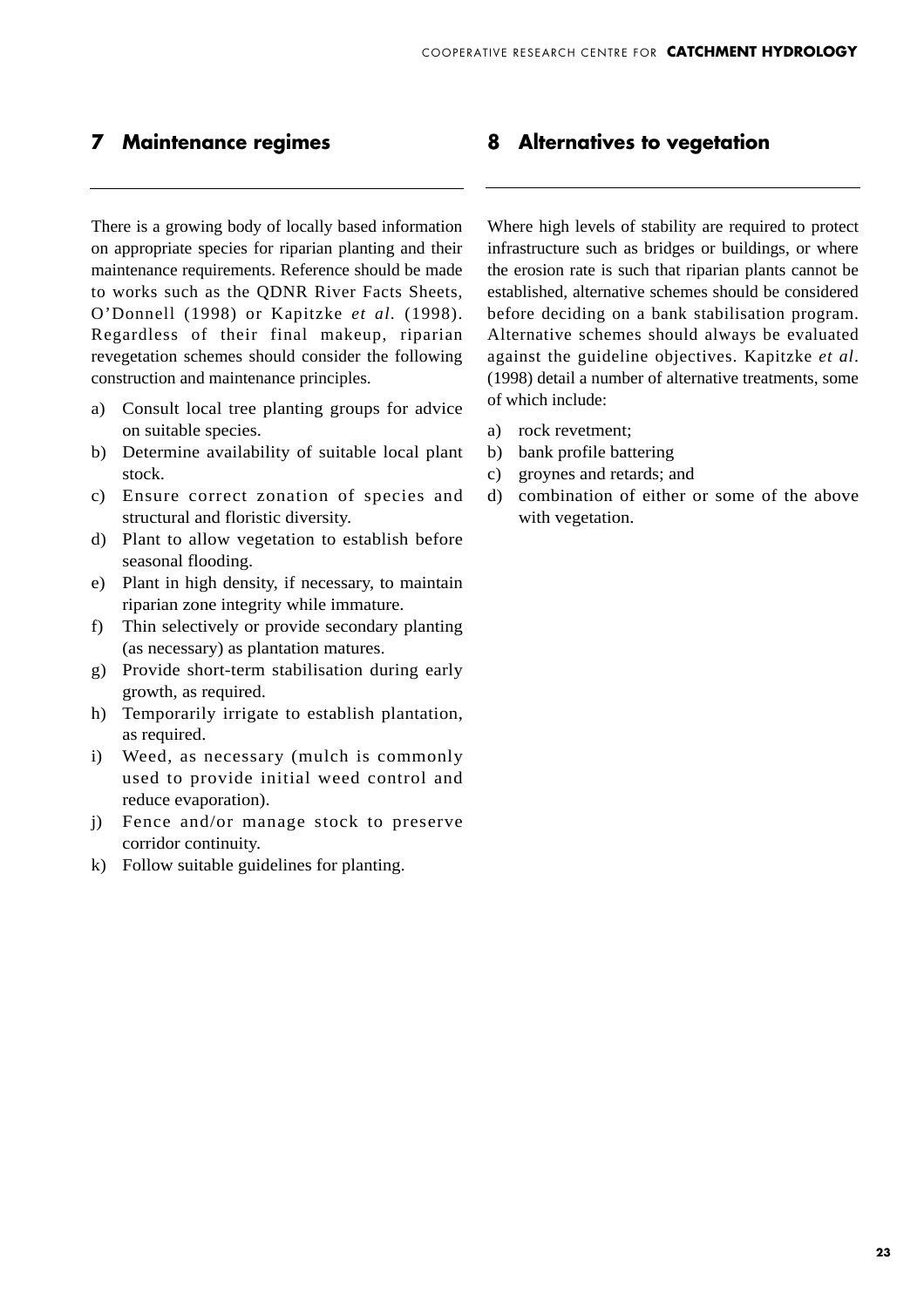# **7 Maintenance regimes**

There is a growing body of locally based information on appropriate species for riparian planting and their maintenance requirements. Reference should be made to works such as the QDNR River Facts Sheets, O'Donnell (1998) or Kapitzke *et al.* (1998). Regardless of their final makeup, riparian revegetation schemes should consider the following construction and maintenance principles.

- a) Consult local tree planting groups for advice on suitable species.
- b) Determine availability of suitable local plant stock.
- c) Ensure correct zonation of species and structural and floristic diversity.
- d) Plant to allow vegetation to establish before seasonal flooding.
- e) Plant in high density, if necessary, to maintain riparian zone integrity while immature.
- f) Thin selectively or provide secondary planting (as necessary) as plantation matures.
- g) Provide short-term stabilisation during early growth, as required.
- h) Temporarily irrigate to establish plantation, as required.
- i) Weed, as necessary (mulch is commonly used to provide initial weed control and reduce evaporation).
- j) Fence and/or manage stock to preserve corridor continuity.
- k) Follow suitable guidelines for planting.

# **8 Alternatives to vegetation**

Where high levels of stability are required to protect infrastructure such as bridges or buildings, or where the erosion rate is such that riparian plants cannot be established, alternative schemes should be considered before deciding on a bank stabilisation program. Alternative schemes should always be evaluated against the guideline objectives. Kapitzke *et al*. (1998) detail a number of alternative treatments, some of which include:

- a) rock revetment;
- b) bank profile battering
- c) groynes and retards; and
- d) combination of either or some of the above with vegetation.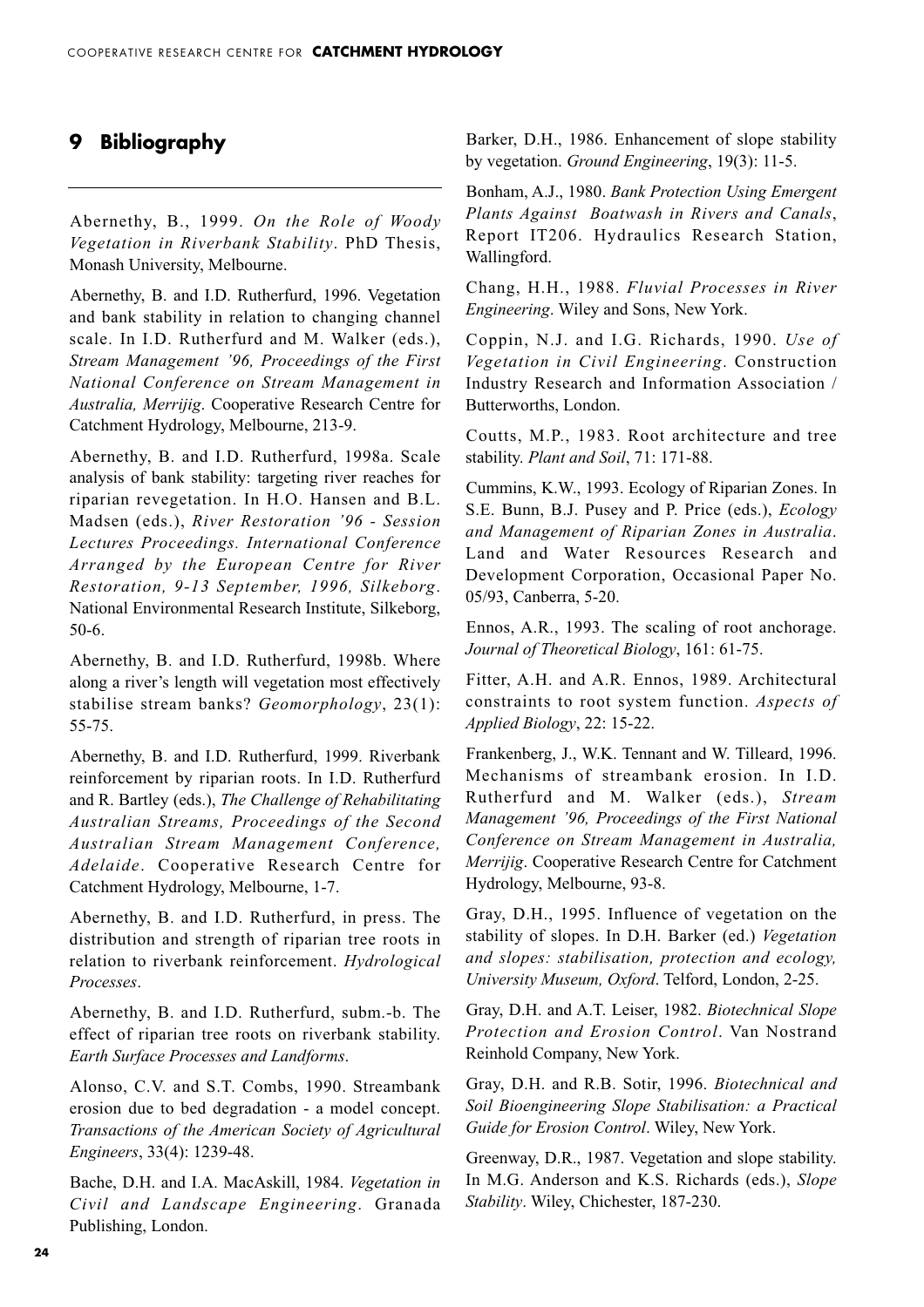# **9 Bibliography**

Abernethy, B., 1999. *On the Role of Woody Vegetation in Riverbank Stability*. PhD Thesis, Monash University, Melbourne.

Abernethy, B. and I.D. Rutherfurd, 1996. Vegetation and bank stability in relation to changing channel scale. In I.D. Rutherfurd and M. Walker (eds.), *Stream Management '96, Proceedings of the First National Conference on Stream Management in Australia, Merrijig*. Cooperative Research Centre for Catchment Hydrology, Melbourne, 213-9.

Abernethy, B. and I.D. Rutherfurd, 1998a. Scale analysis of bank stability: targeting river reaches for riparian revegetation. In H.O. Hansen and B.L. Madsen (eds.), *River Restoration '96 - Session Lectures Proceedings. International Conference Arranged by the European Centre for River Restoration, 9-13 September, 1996, Silkeborg*. National Environmental Research Institute, Silkeborg, 50-6.

Abernethy, B. and I.D. Rutherfurd, 1998b. Where along a river's length will vegetation most effectively stabilise stream banks? *Geomorphology*, 23(1): 55-75.

Abernethy, B. and I.D. Rutherfurd, 1999. Riverbank reinforcement by riparian roots. In I.D. Rutherfurd and R. Bartley (eds.), *The Challenge of Rehabilitating Australian Streams, Proceedings of the Second Australian Stream Management Conference, Adelaide*. Cooperative Research Centre for Catchment Hydrology, Melbourne, 1-7.

Abernethy, B. and I.D. Rutherfurd, in press. The distribution and strength of riparian tree roots in relation to riverbank reinforcement. *Hydrological Processes*.

Abernethy, B. and I.D. Rutherfurd, subm.-b. The effect of riparian tree roots on riverbank stability. *Earth Surface Processes and Landforms*.

Alonso, C.V. and S.T. Combs, 1990. Streambank erosion due to bed degradation - a model concept. *Transactions of the American Society of Agricultural Engineers*, 33(4): 1239-48.

Bache, D.H. and I.A. MacAskill, 1984. *Vegetation in Civil and Landscape Engineering*. Granada Publishing, London.

Barker, D.H., 1986. Enhancement of slope stability by vegetation. *Ground Engineering*, 19(3): 11-5.

Bonham, A.J., 1980. *Bank Protection Using Emergent Plants Against Boatwash in Rivers and Canals*, Report IT206. Hydraulics Research Station, Wallingford.

Chang, H.H., 1988. *Fluvial Processes in River Engineering*. Wiley and Sons, New York.

Coppin, N.J. and I.G. Richards, 1990. *Use of Vegetation in Civil Engineering*. Construction Industry Research and Information Association / Butterworths, London.

Coutts, M.P., 1983. Root architecture and tree stability. *Plant and Soil*, 71: 171-88.

Cummins, K.W., 1993. Ecology of Riparian Zones. In S.E. Bunn, B.J. Pusey and P. Price (eds.), *Ecology and Management of Riparian Zones in Australia*. Land and Water Resources Research and Development Corporation, Occasional Paper No. 05/93, Canberra, 5-20.

Ennos, A.R., 1993. The scaling of root anchorage. *Journal of Theoretical Biology*, 161: 61-75.

Fitter, A.H. and A.R. Ennos, 1989. Architectural constraints to root system function. *Aspects of Applied Biology*, 22: 15-22.

Frankenberg, J., W.K. Tennant and W. Tilleard, 1996. Mechanisms of streambank erosion. In I.D. Rutherfurd and M. Walker (eds.), *Stream Management '96, Proceedings of the First National Conference on Stream Management in Australia, Merrijig*. Cooperative Research Centre for Catchment Hydrology, Melbourne, 93-8.

Gray, D.H., 1995. Influence of vegetation on the stability of slopes. In D.H. Barker (ed.) *Vegetation and slopes: stabilisation, protection and ecology, University Museum, Oxford*. Telford, London, 2-25.

Gray, D.H. and A.T. Leiser, 1982. *Biotechnical Slope Protection and Erosion Control*. Van Nostrand Reinhold Company, New York.

Gray, D.H. and R.B. Sotir, 1996. *Biotechnical and Soil Bioengineering Slope Stabilisation: a Practical Guide for Erosion Control*. Wiley, New York.

Greenway, D.R., 1987. Vegetation and slope stability. In M.G. Anderson and K.S. Richards (eds.), *Slope Stability*. Wiley, Chichester, 187-230.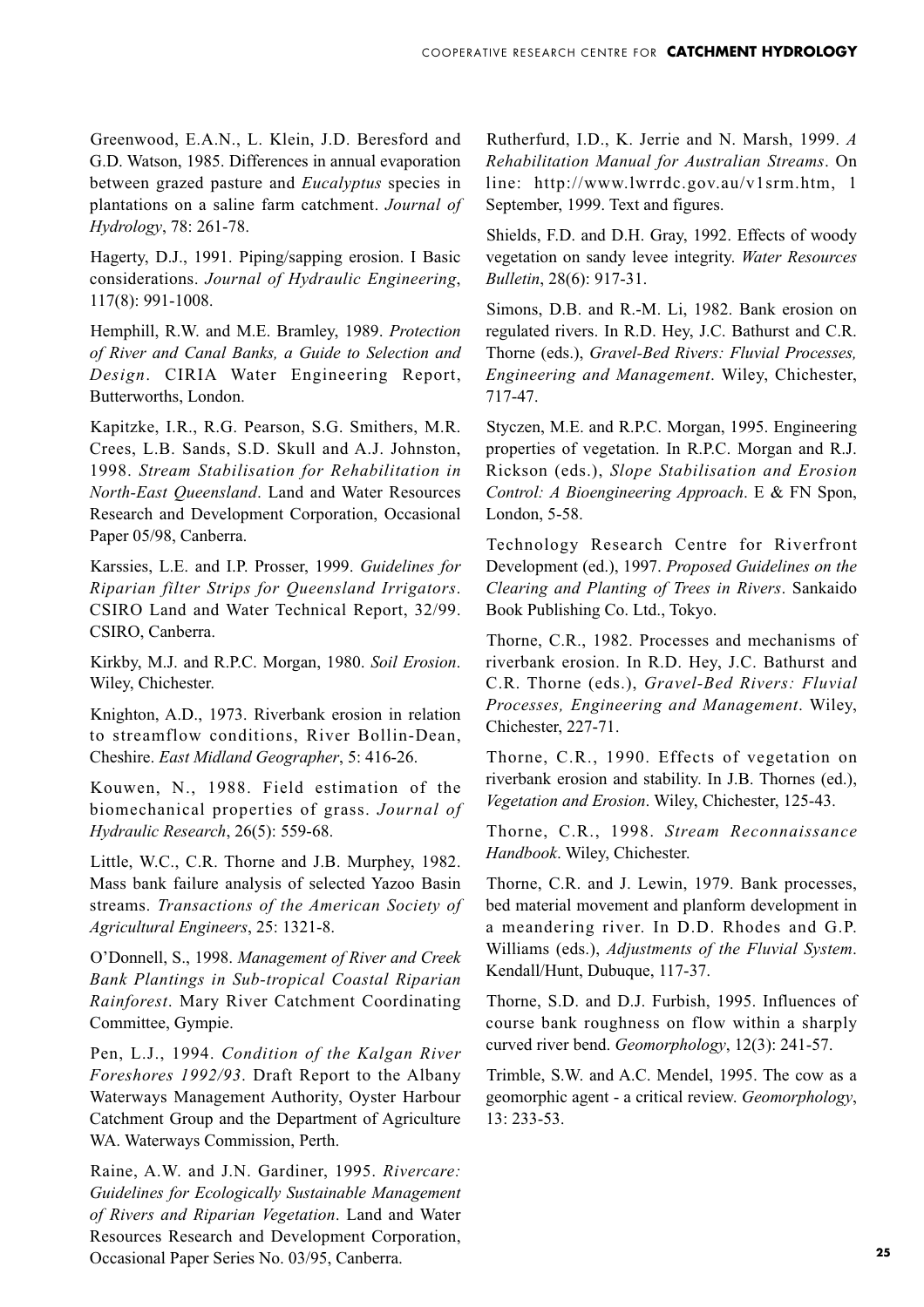Greenwood, E.A.N., L. Klein, J.D. Beresford and G.D. Watson, 1985. Differences in annual evaporation between grazed pasture and *Eucalyptus* species in plantations on a saline farm catchment. *Journal of Hydrology*, 78: 261-78.

Hagerty, D.J., 1991. Piping/sapping erosion. I Basic considerations. *Journal of Hydraulic Engineering*, 117(8): 991-1008.

Hemphill, R.W. and M.E. Bramley, 1989. *Protection of River and Canal Banks, a Guide to Selection and Design*. CIRIA Water Engineering Report, Butterworths, London.

Kapitzke, I.R., R.G. Pearson, S.G. Smithers, M.R. Crees, L.B. Sands, S.D. Skull and A.J. Johnston, 1998. *Stream Stabilisation for Rehabilitation in North-East Queensland*. Land and Water Resources Research and Development Corporation, Occasional Paper 05/98, Canberra.

Karssies, L.E. and I.P. Prosser, 1999. *Guidelines for Riparian filter Strips for Queensland Irrigators*. CSIRO Land and Water Technical Report, 32/99. CSIRO, Canberra.

Kirkby, M.J. and R.P.C. Morgan, 1980. *Soil Erosion*. Wiley, Chichester.

Knighton, A.D., 1973. Riverbank erosion in relation to streamflow conditions, River Bollin-Dean, Cheshire. *East Midland Geographer*, 5: 416-26.

Kouwen, N., 1988. Field estimation of the biomechanical properties of grass. *Journal of Hydraulic Research*, 26(5): 559-68.

Little, W.C., C.R. Thorne and J.B. Murphey, 1982. Mass bank failure analysis of selected Yazoo Basin streams. *Transactions of the American Society of Agricultural Engineers*, 25: 1321-8.

O'Donnell, S., 1998. *Management of River and Creek Bank Plantings in Sub-tropical Coastal Riparian Rainforest*. Mary River Catchment Coordinating Committee, Gympie.

Pen, L.J., 1994. *Condition of the Kalgan River Foreshores 1992/93*. Draft Report to the Albany Waterways Management Authority, Oyster Harbour Catchment Group and the Department of Agriculture WA. Waterways Commission, Perth.

Raine, A.W. and J.N. Gardiner, 1995. *Rivercare: Guidelines for Ecologically Sustainable Management of Rivers and Riparian Vegetation*. Land and Water Resources Research and Development Corporation, Occasional Paper Series No. 03/95, Canberra.

Rutherfurd, I.D., K. Jerrie and N. Marsh, 1999. *A Rehabilitation Manual for Australian Streams*. On line: http://www.lwrrdc.gov.au/v1srm.htm, 1 September, 1999. Text and figures.

Shields, F.D. and D.H. Gray, 1992. Effects of woody vegetation on sandy levee integrity. *Water Resources Bulletin*, 28(6): 917-31.

Simons, D.B. and R.-M. Li, 1982. Bank erosion on regulated rivers. In R.D. Hey, J.C. Bathurst and C.R. Thorne (eds.), *Gravel-Bed Rivers: Fluvial Processes, Engineering and Management*. Wiley, Chichester, 717-47.

Styczen, M.E. and R.P.C. Morgan, 1995. Engineering properties of vegetation. In R.P.C. Morgan and R.J. Rickson (eds.), *Slope Stabilisation and Erosion Control: A Bioengineering Approach*. E & FN Spon, London, 5-58.

Technology Research Centre for Riverfront Development (ed.), 1997. *Proposed Guidelines on the Clearing and Planting of Trees in Rivers*. Sankaido Book Publishing Co. Ltd., Tokyo.

Thorne, C.R., 1982. Processes and mechanisms of riverbank erosion. In R.D. Hey, J.C. Bathurst and C.R. Thorne (eds.), *Gravel-Bed Rivers: Fluvial Processes, Engineering and Management*. Wiley, Chichester, 227-71.

Thorne, C.R., 1990. Effects of vegetation on riverbank erosion and stability. In J.B. Thornes (ed.), *Vegetation and Erosion*. Wiley, Chichester, 125-43.

Thorne, C.R., 1998. *Stream Reconnaissance Handbook*. Wiley, Chichester.

Thorne, C.R. and J. Lewin, 1979. Bank processes, bed material movement and planform development in a meandering river. In D.D. Rhodes and G.P. Williams (eds.), *Adjustments of the Fluvial System*. Kendall/Hunt, Dubuque, 117-37.

Thorne, S.D. and D.J. Furbish, 1995. Influences of course bank roughness on flow within a sharply curved river bend. *Geomorphology*, 12(3): 241-57.

Trimble, S.W. and A.C. Mendel, 1995. The cow as a geomorphic agent - a critical review. *Geomorphology*, 13: 233-53.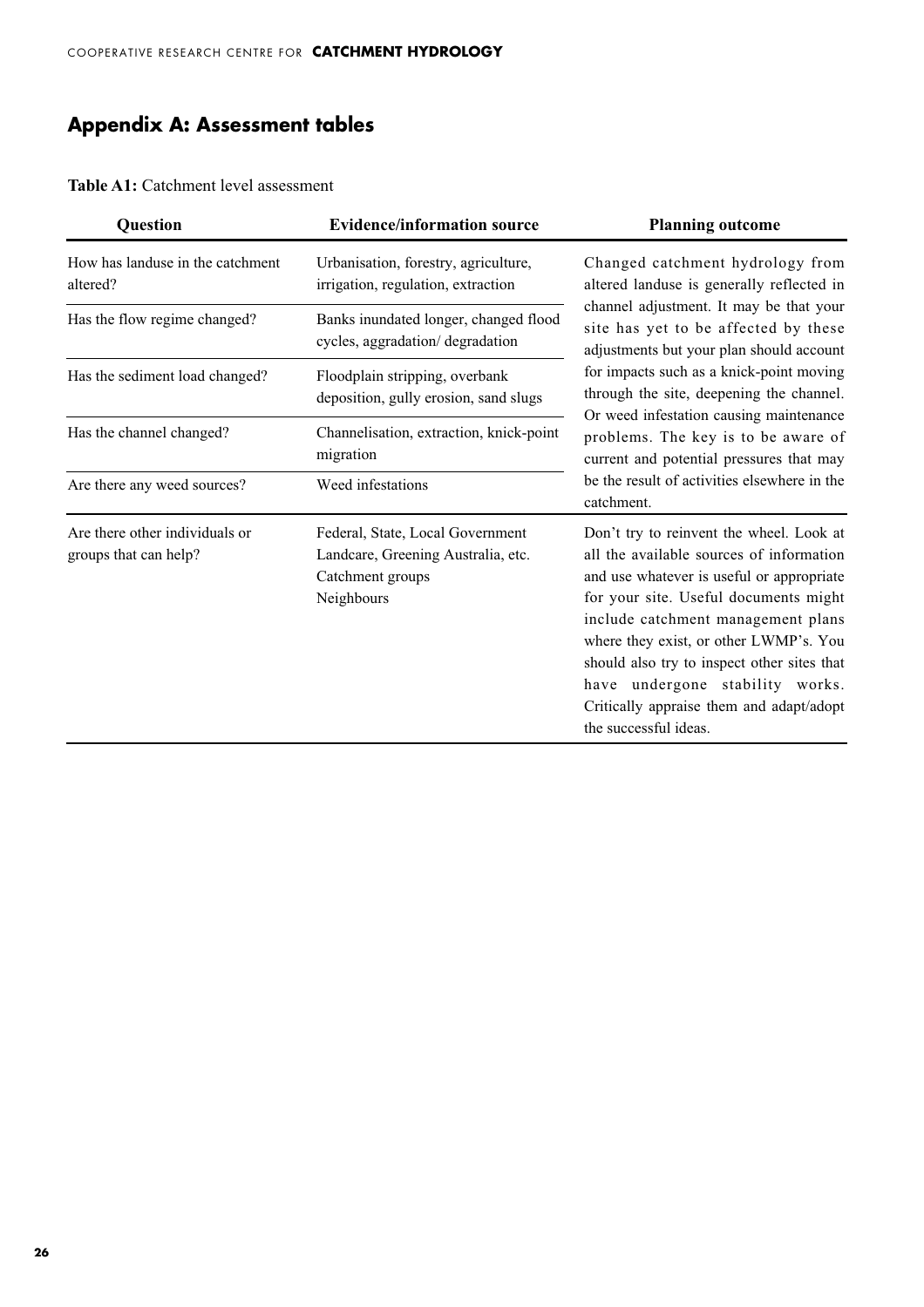# **Appendix A: Assessment tables**

|  | Table A1: Catchment level assessment |  |
|--|--------------------------------------|--|
|--|--------------------------------------|--|

| Question                                                | <b>Evidence/information source</b>                                                                       | <b>Planning outcome</b>                                                                                                                                                                                                                                                                                                                                                                                           |
|---------------------------------------------------------|----------------------------------------------------------------------------------------------------------|-------------------------------------------------------------------------------------------------------------------------------------------------------------------------------------------------------------------------------------------------------------------------------------------------------------------------------------------------------------------------------------------------------------------|
| How has landuse in the catchment<br>altered?            | Urbanisation, forestry, agriculture,<br>irrigation, regulation, extraction                               | Changed catchment hydrology from<br>altered landuse is generally reflected in<br>channel adjustment. It may be that your<br>site has yet to be affected by these<br>adjustments but your plan should account                                                                                                                                                                                                      |
| Has the flow regime changed?                            | Banks inundated longer, changed flood<br>cycles, aggradation/degradation                                 |                                                                                                                                                                                                                                                                                                                                                                                                                   |
| Has the sediment load changed?                          | Floodplain stripping, overbank<br>deposition, gully erosion, sand slugs                                  | for impacts such as a knick-point moving<br>through the site, deepening the channel.<br>Or weed infestation causing maintenance                                                                                                                                                                                                                                                                                   |
| Has the channel changed?                                | Channelisation, extraction, knick-point<br>migration                                                     | problems. The key is to be aware of<br>current and potential pressures that may                                                                                                                                                                                                                                                                                                                                   |
| Are there any weed sources?                             | Weed infestations                                                                                        | be the result of activities elsewhere in the<br>catchment.                                                                                                                                                                                                                                                                                                                                                        |
| Are there other individuals or<br>groups that can help? | Federal, State, Local Government<br>Landcare, Greening Australia, etc.<br>Catchment groups<br>Neighbours | Don't try to reinvent the wheel. Look at<br>all the available sources of information<br>and use whatever is useful or appropriate<br>for your site. Useful documents might<br>include catchment management plans<br>where they exist, or other LWMP's. You<br>should also try to inspect other sites that<br>have undergone stability works.<br>Critically appraise them and adapt/adopt<br>the successful ideas. |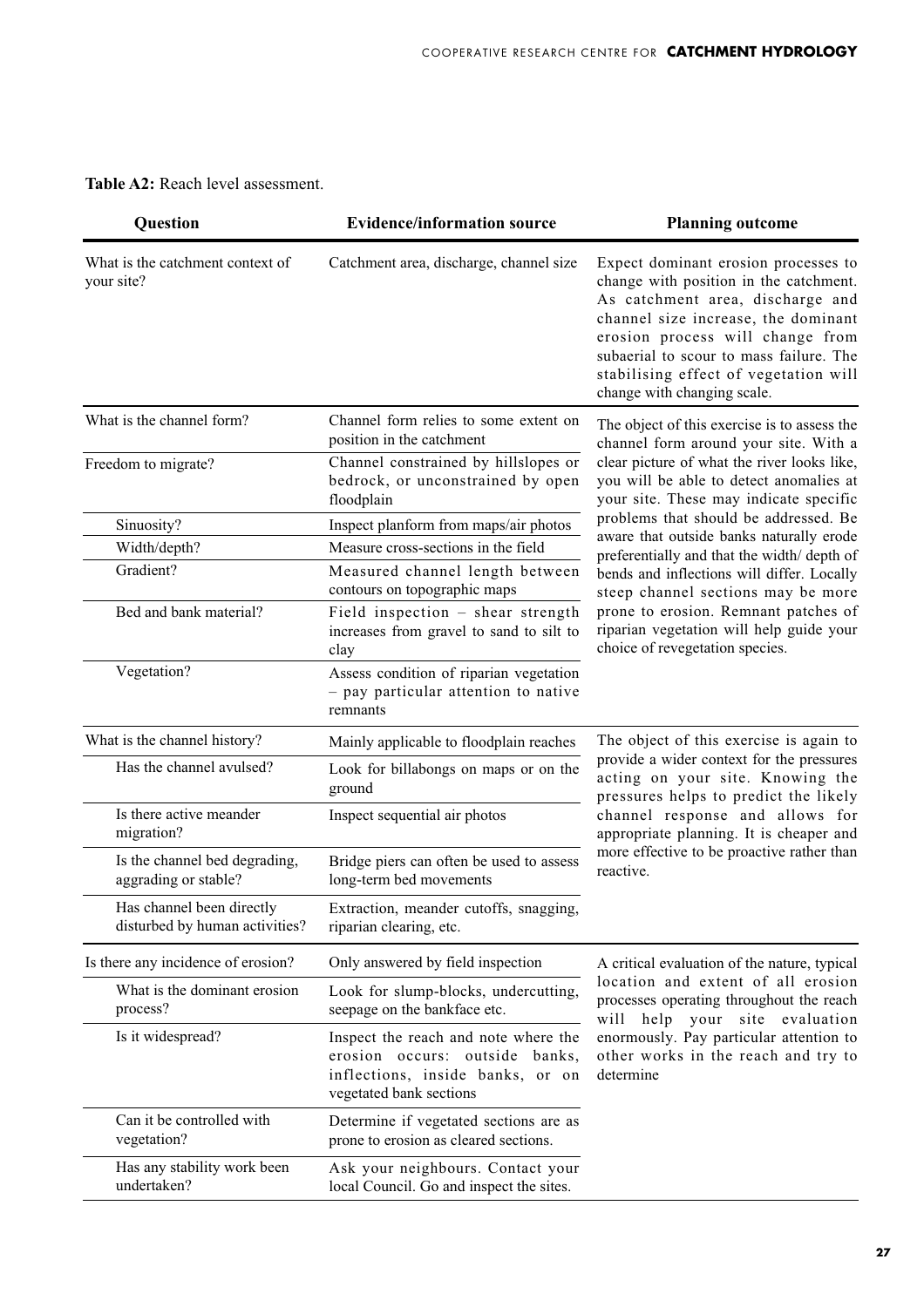# **Table A2:** Reach level assessment.

| Question                                                    | <b>Evidence/information source</b>                                                                                                    | <b>Planning outcome</b>                                                                                                                                                                                                                                                                                          |
|-------------------------------------------------------------|---------------------------------------------------------------------------------------------------------------------------------------|------------------------------------------------------------------------------------------------------------------------------------------------------------------------------------------------------------------------------------------------------------------------------------------------------------------|
| What is the catchment context of<br>your site?              | Catchment area, discharge, channel size                                                                                               | Expect dominant erosion processes to<br>change with position in the catchment.<br>As catchment area, discharge and<br>channel size increase, the dominant<br>erosion process will change from<br>subaerial to scour to mass failure. The<br>stabilising effect of vegetation will<br>change with changing scale. |
| What is the channel form?                                   | Channel form relies to some extent on<br>position in the catchment                                                                    | The object of this exercise is to assess the<br>channel form around your site. With a                                                                                                                                                                                                                            |
| Freedom to migrate?                                         | Channel constrained by hillslopes or<br>bedrock, or unconstrained by open<br>floodplain                                               | clear picture of what the river looks like,<br>you will be able to detect anomalies at<br>your site. These may indicate specific                                                                                                                                                                                 |
| Sinuosity?                                                  | Inspect planform from maps/air photos                                                                                                 | problems that should be addressed. Be                                                                                                                                                                                                                                                                            |
| Width/depth?                                                | Measure cross-sections in the field                                                                                                   | aware that outside banks naturally erode<br>preferentially and that the width/ depth of                                                                                                                                                                                                                          |
| Gradient?                                                   | Measured channel length between<br>contours on topographic maps                                                                       | bends and inflections will differ. Locally<br>steep channel sections may be more                                                                                                                                                                                                                                 |
| Bed and bank material?                                      | Field inspection - shear strength<br>increases from gravel to sand to silt to<br>clay                                                 | prone to erosion. Remnant patches of<br>riparian vegetation will help guide your<br>choice of revegetation species.                                                                                                                                                                                              |
| Vegetation?                                                 | Assess condition of riparian vegetation<br>- pay particular attention to native<br>remnants                                           |                                                                                                                                                                                                                                                                                                                  |
| What is the channel history?                                | Mainly applicable to floodplain reaches                                                                                               | The object of this exercise is again to                                                                                                                                                                                                                                                                          |
| Has the channel avulsed?                                    | Look for billabongs on maps or on the<br>ground                                                                                       | provide a wider context for the pressures<br>acting on your site. Knowing the<br>pressures helps to predict the likely                                                                                                                                                                                           |
| Is there active meander<br>migration?                       | Inspect sequential air photos                                                                                                         | channel response and allows for<br>appropriate planning. It is cheaper and                                                                                                                                                                                                                                       |
| Is the channel bed degrading,<br>aggrading or stable?       | Bridge piers can often be used to assess<br>long-term bed movements                                                                   | more effective to be proactive rather than<br>reactive.                                                                                                                                                                                                                                                          |
| Has channel been directly<br>disturbed by human activities? | Extraction, meander cutoffs, snagging,<br>riparian clearing, etc.                                                                     |                                                                                                                                                                                                                                                                                                                  |
| Is there any incidence of erosion?                          | Only answered by field inspection                                                                                                     | A critical evaluation of the nature, typical<br>location and extent of all erosion<br>processes operating throughout the reach<br>will help your site evaluation<br>enormously. Pay particular attention to<br>other works in the reach and try to<br>determine                                                  |
| What is the dominant erosion<br>process?                    | Look for slump-blocks, undercutting,<br>seepage on the bankface etc.                                                                  |                                                                                                                                                                                                                                                                                                                  |
| Is it widespread?                                           | Inspect the reach and note where the<br>erosion occurs: outside banks,<br>inflections, inside banks, or on<br>vegetated bank sections |                                                                                                                                                                                                                                                                                                                  |
| Can it be controlled with<br>vegetation?                    | Determine if vegetated sections are as<br>prone to erosion as cleared sections.                                                       |                                                                                                                                                                                                                                                                                                                  |
| Has any stability work been<br>undertaken?                  | Ask your neighbours. Contact your<br>local Council. Go and inspect the sites.                                                         |                                                                                                                                                                                                                                                                                                                  |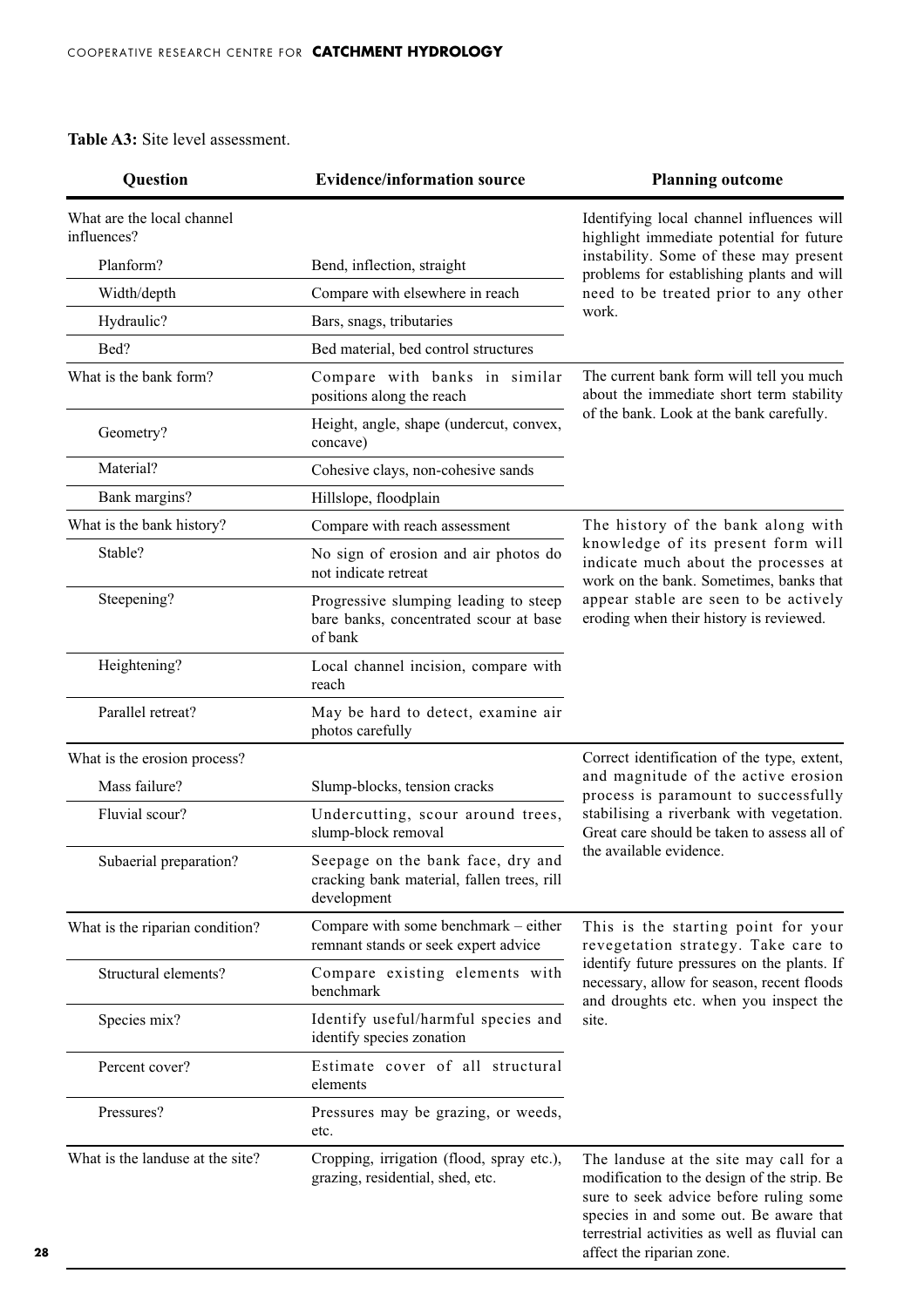**Table A3:** Site level assessment.

| Question                                  | <b>Evidence/information source</b>                                                             | <b>Planning outcome</b>                                                                                                                                                                                                                                 |
|-------------------------------------------|------------------------------------------------------------------------------------------------|---------------------------------------------------------------------------------------------------------------------------------------------------------------------------------------------------------------------------------------------------------|
| What are the local channel<br>influences? | Identifying local channel influences will<br>highlight immediate potential for future          |                                                                                                                                                                                                                                                         |
| Planform?                                 | Bend, inflection, straight                                                                     | instability. Some of these may present<br>problems for establishing plants and will<br>need to be treated prior to any other<br>work.                                                                                                                   |
| Width/depth                               | Compare with elsewhere in reach                                                                |                                                                                                                                                                                                                                                         |
| Hydraulic?                                | Bars, snags, tributaries                                                                       |                                                                                                                                                                                                                                                         |
| Bed?                                      | Bed material, bed control structures                                                           |                                                                                                                                                                                                                                                         |
| What is the bank form?                    | Compare with banks in similar<br>positions along the reach                                     | The current bank form will tell you much<br>about the immediate short term stability<br>of the bank. Look at the bank carefully.                                                                                                                        |
| Geometry?                                 | Height, angle, shape (undercut, convex,<br>concave)                                            |                                                                                                                                                                                                                                                         |
| Material?                                 | Cohesive clays, non-cohesive sands                                                             |                                                                                                                                                                                                                                                         |
| Bank margins?                             | Hillslope, floodplain                                                                          |                                                                                                                                                                                                                                                         |
| What is the bank history?                 | Compare with reach assessment                                                                  | The history of the bank along with                                                                                                                                                                                                                      |
| Stable?                                   | No sign of erosion and air photos do<br>not indicate retreat                                   | knowledge of its present form will<br>indicate much about the processes at<br>work on the bank. Sometimes, banks that                                                                                                                                   |
| Steepening?                               | Progressive slumping leading to steep<br>bare banks, concentrated scour at base<br>of bank     | appear stable are seen to be actively<br>eroding when their history is reviewed.                                                                                                                                                                        |
| Heightening?                              | Local channel incision, compare with<br>reach                                                  |                                                                                                                                                                                                                                                         |
| Parallel retreat?                         | May be hard to detect, examine air<br>photos carefully                                         |                                                                                                                                                                                                                                                         |
| What is the erosion process?              | Correct identification of the type, extent,                                                    |                                                                                                                                                                                                                                                         |
| Mass failure?                             | Slump-blocks, tension cracks                                                                   | and magnitude of the active erosion<br>process is paramount to successfully                                                                                                                                                                             |
| Fluvial scour?                            | Undercutting, scour around trees,<br>slump-block removal                                       | stabilising a riverbank with vegetation.<br>Great care should be taken to assess all of                                                                                                                                                                 |
| Subaerial preparation?                    | Seepage on the bank face, dry and<br>cracking bank material, fallen trees, rill<br>development | the available evidence.                                                                                                                                                                                                                                 |
| What is the riparian condition?           | Compare with some benchmark – either<br>remnant stands or seek expert advice                   | This is the starting point for your<br>revegetation strategy. Take care to                                                                                                                                                                              |
| Structural elements?                      | Compare existing elements with<br>benchmark                                                    | identify future pressures on the plants. If<br>necessary, allow for season, recent floods<br>and droughts etc. when you inspect the<br>site.                                                                                                            |
| Species mix?                              | Identify useful/harmful species and<br>identify species zonation                               |                                                                                                                                                                                                                                                         |
| Percent cover?                            | Estimate cover of all structural<br>elements                                                   |                                                                                                                                                                                                                                                         |
| Pressures?                                | Pressures may be grazing, or weeds,<br>etc.                                                    |                                                                                                                                                                                                                                                         |
| What is the landuse at the site?          | Cropping, irrigation (flood, spray etc.),<br>grazing, residential, shed, etc.                  | The landuse at the site may call for a<br>modification to the design of the strip. Be<br>sure to seek advice before ruling some<br>species in and some out. Be aware that<br>terrestrial activities as well as fluvial can<br>affect the riparian zone. |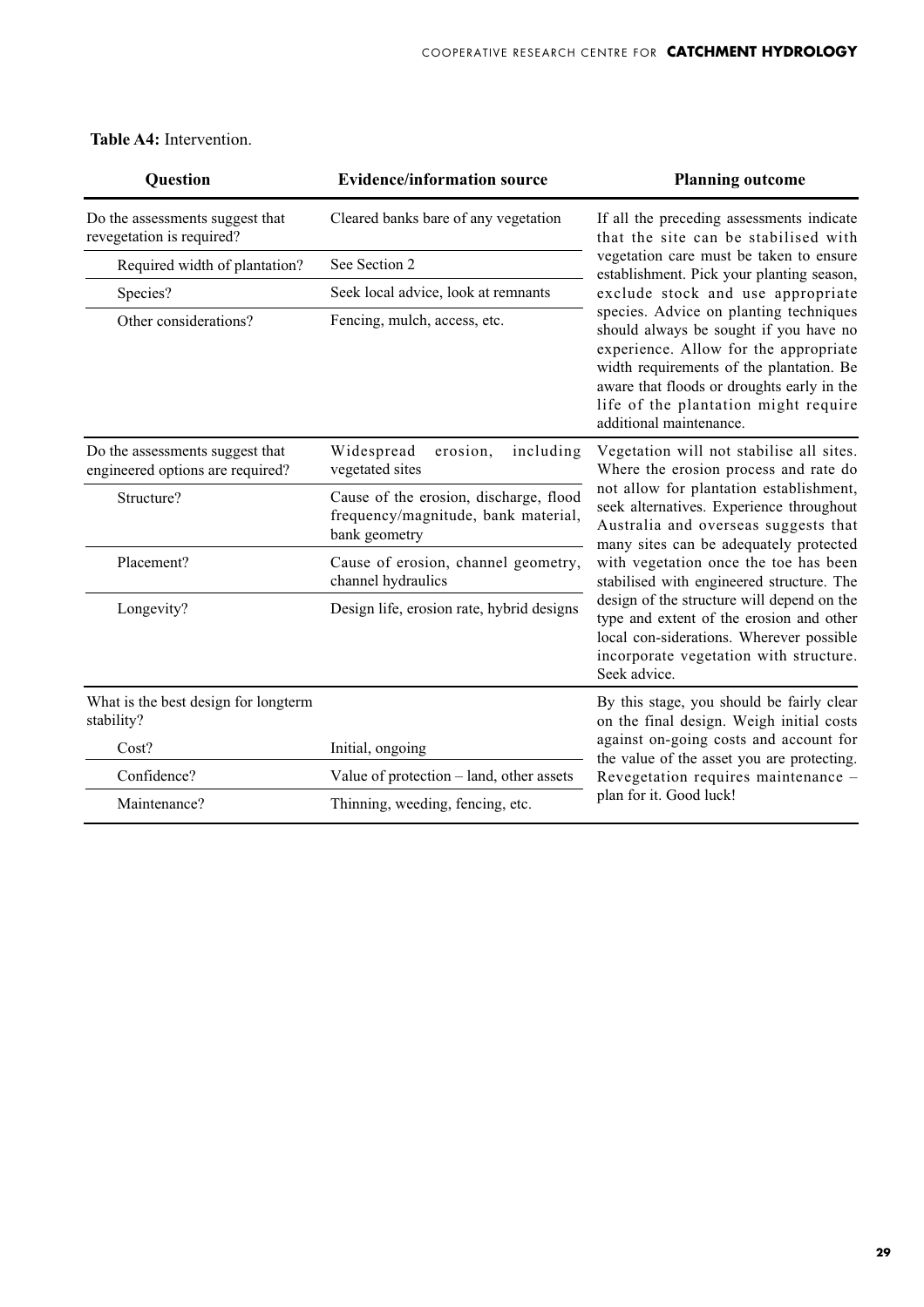# **Table A4:** Intervention.

| <b>Question</b>                                                     | <b>Evidence/information source</b>                                                             | <b>Planning outcome</b>                                                                                                                                                                                                                                                                |  |
|---------------------------------------------------------------------|------------------------------------------------------------------------------------------------|----------------------------------------------------------------------------------------------------------------------------------------------------------------------------------------------------------------------------------------------------------------------------------------|--|
| Do the assessments suggest that<br>revegetation is required?        | Cleared banks bare of any vegetation                                                           | If all the preceding assessments indicate<br>that the site can be stabilised with                                                                                                                                                                                                      |  |
| Required width of plantation?                                       | See Section 2                                                                                  | vegetation care must be taken to ensure<br>establishment. Pick your planting season,                                                                                                                                                                                                   |  |
| Species?                                                            | Seek local advice, look at remnants                                                            | exclude stock and use appropriate                                                                                                                                                                                                                                                      |  |
| Other considerations?                                               | Fencing, mulch, access, etc.                                                                   | species. Advice on planting techniques<br>should always be sought if you have no<br>experience. Allow for the appropriate<br>width requirements of the plantation. Be<br>aware that floods or droughts early in the<br>life of the plantation might require<br>additional maintenance. |  |
| Do the assessments suggest that<br>engineered options are required? | Widespread<br>erosion,<br>including<br>vegetated sites                                         | Vegetation will not stabilise all sites.<br>Where the erosion process and rate do                                                                                                                                                                                                      |  |
| Structure?                                                          | Cause of the erosion, discharge, flood<br>frequency/magnitude, bank material,<br>bank geometry | not allow for plantation establishment,<br>seek alternatives. Experience throughout<br>Australia and overseas suggests that<br>many sites can be adequately protected                                                                                                                  |  |
| Placement?                                                          | Cause of erosion, channel geometry,<br>channel hydraulics                                      | with vegetation once the toe has been<br>stabilised with engineered structure. The                                                                                                                                                                                                     |  |
| Longevity?                                                          | Design life, erosion rate, hybrid designs                                                      | design of the structure will depend on the<br>type and extent of the erosion and other<br>local con-siderations. Wherever possible<br>incorporate vegetation with structure.<br>Seek advice.                                                                                           |  |
| What is the best design for longterm<br>stability?                  |                                                                                                | By this stage, you should be fairly clear<br>on the final design. Weigh initial costs<br>against on-going costs and account for<br>the value of the asset you are protecting.                                                                                                          |  |
| Cost?                                                               | Initial, ongoing                                                                               |                                                                                                                                                                                                                                                                                        |  |
| Confidence?                                                         | Value of protection – land, other assets                                                       | Revegetation requires maintenance -                                                                                                                                                                                                                                                    |  |
| Maintenance?                                                        | Thinning, weeding, fencing, etc.                                                               | plan for it. Good luck!                                                                                                                                                                                                                                                                |  |